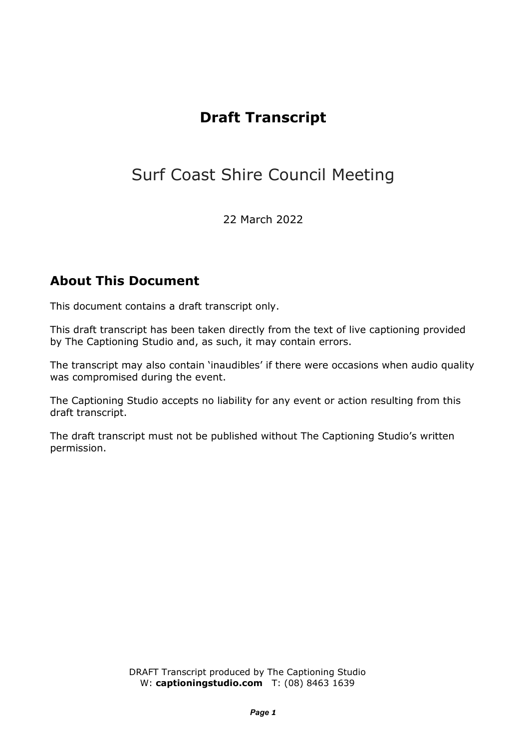## **Draft Transcript**

## Surf Coast Shire Council Meeting

22 March 2022

## **About This Document**

This document contains a draft transcript only.

This draft transcript has been taken directly from the text of live captioning provided by The Captioning Studio and, as such, it may contain errors.

The transcript may also contain 'inaudibles' if there were occasions when audio quality was compromised during the event.

The Captioning Studio accepts no liability for any event or action resulting from this draft transcript.

The draft transcript must not be published without The Captioning Studio's written permission.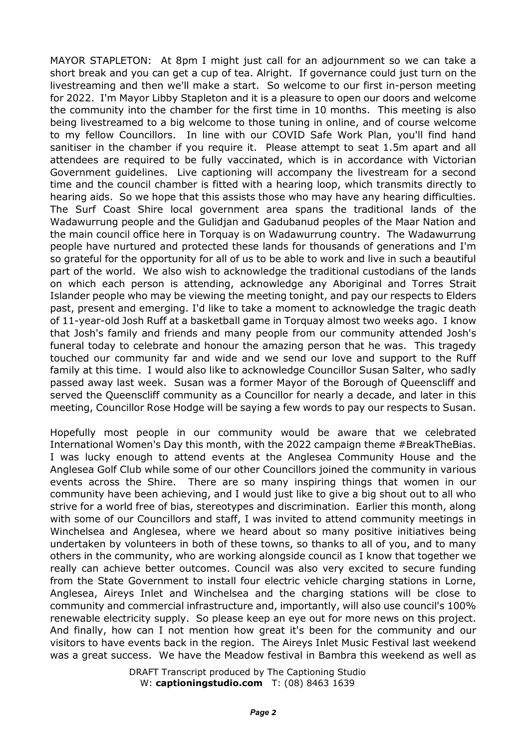MAYOR STAPLETON: At 8pm I might just call for an adjournment so we can take a short break and you can get a cup of tea. Alright. If governance could just turn on the livestreaming and then we'll make a start. So welcome to our first in-person meeting for 2022. I'm Mayor Libby Stapleton and it is a pleasure to open our doors and welcome the community into the chamber for the first time in 10 months. This meeting is also being livestreamed to a big welcome to those tuning in online, and of course welcome to my fellow Councillors. In line with our COVID Safe Work Plan, you'll find hand sanitiser in the chamber if you require it. Please attempt to seat 1.5m apart and all attendees are required to be fully vaccinated, which is in accordance with Victorian Government guidelines. Live captioning will accompany the livestream for a second time and the council chamber is fitted with a hearing loop, which transmits directly to hearing aids. So we hope that this assists those who may have any hearing difficulties. The Surf Coast Shire local government area spans the traditional lands of the Wadawurrung people and the Gulidjan and Gadubanud peoples of the Maar Nation and the main council office here in Torquay is on Wadawurrung country. The Wadawurrung people have nurtured and protected these lands for thousands of generations and I'm so grateful for the opportunity for all of us to be able to work and live in such a beautiful part of the world. We also wish to acknowledge the traditional custodians of the lands on which each person is attending, acknowledge any Aboriginal and Torres Strait Islander people who may be viewing the meeting tonight, and pay our respects to Elders past, present and emerging. I'd like to take a moment to acknowledge the tragic death of 11-year-old Josh Ruff at a basketball game in Torquay almost two weeks ago. I know that Josh's family and friends and many people from our community attended Josh's funeral today to celebrate and honour the amazing person that he was. This tragedy touched our community far and wide and we send our love and support to the Ruff family at this time. I would also like to acknowledge Councillor Susan Salter, who sadly passed away last week. Susan was a former Mayor of the Borough of Queenscliff and served the Queenscliff community as a Councillor for nearly a decade, and later in this meeting, Councillor Rose Hodge will be saying a few words to pay our respects to Susan.

Hopefully most people in our community would be aware that we celebrated International Women's Day this month, with the 2022 campaign theme #BreakTheBias. I was lucky enough to attend events at the Anglesea Community House and the Anglesea Golf Club while some of our other Councillors joined the community in various events across the Shire. There are so many inspiring things that women in our community have been achieving, and I would just like to give a big shout out to all who strive for a world free of bias, stereotypes and discrimination. Earlier this month, along with some of our Councillors and staff, I was invited to attend community meetings in Winchelsea and Anglesea, where we heard about so many positive initiatives being undertaken by volunteers in both of these towns, so thanks to all of you, and to many others in the community, who are working alongside council as I know that together we really can achieve better outcomes. Council was also very excited to secure funding from the State Government to install four electric vehicle charging stations in Lorne, Anglesea, Aireys Inlet and Winchelsea and the charging stations will be close to community and commercial infrastructure and, importantly, will also use council's 100% renewable electricity supply. So please keep an eye out for more news on this project. And finally, how can I not mention how great it's been for the community and our visitors to have events back in the region. The Aireys Inlet Music Festival last weekend was a great success. We have the Meadow festival in Bambra this weekend as well as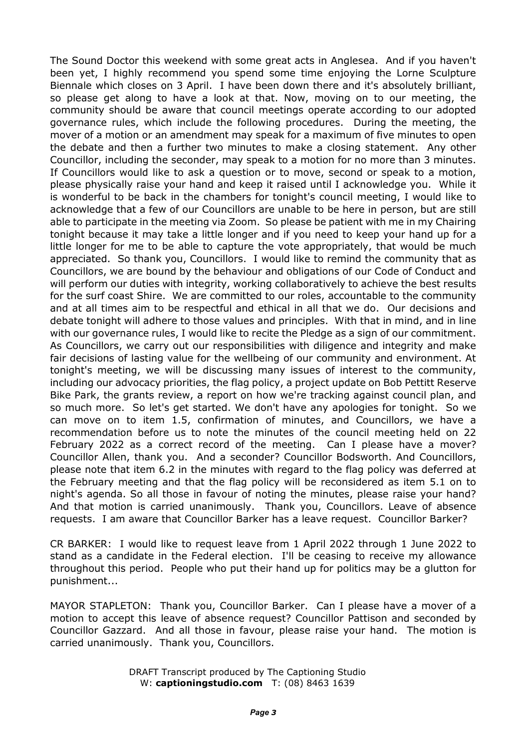The Sound Doctor this weekend with some great acts in Anglesea. And if you haven't been yet, I highly recommend you spend some time enjoying the Lorne Sculpture Biennale which closes on 3 April. I have been down there and it's absolutely brilliant, so please get along to have a look at that. Now, moving on to our meeting, the community should be aware that council meetings operate according to our adopted governance rules, which include the following procedures. During the meeting, the mover of a motion or an amendment may speak for a maximum of five minutes to open the debate and then a further two minutes to make a closing statement. Any other Councillor, including the seconder, may speak to a motion for no more than 3 minutes. If Councillors would like to ask a question or to move, second or speak to a motion, please physically raise your hand and keep it raised until I acknowledge you. While it is wonderful to be back in the chambers for tonight's council meeting, I would like to acknowledge that a few of our Councillors are unable to be here in person, but are still able to participate in the meeting via Zoom. So please be patient with me in my Chairing tonight because it may take a little longer and if you need to keep your hand up for a little longer for me to be able to capture the vote appropriately, that would be much appreciated. So thank you, Councillors. I would like to remind the community that as Councillors, we are bound by the behaviour and obligations of our Code of Conduct and will perform our duties with integrity, working collaboratively to achieve the best results for the surf coast Shire. We are committed to our roles, accountable to the community and at all times aim to be respectful and ethical in all that we do. Our decisions and debate tonight will adhere to those values and principles. With that in mind, and in line with our governance rules, I would like to recite the Pledge as a sign of our commitment. As Councillors, we carry out our responsibilities with diligence and integrity and make fair decisions of lasting value for the wellbeing of our community and environment. At tonight's meeting, we will be discussing many issues of interest to the community, including our advocacy priorities, the flag policy, a project update on Bob Pettitt Reserve Bike Park, the grants review, a report on how we're tracking against council plan, and so much more. So let's get started. We don't have any apologies for tonight. So we can move on to item 1.5, confirmation of minutes, and Councillors, we have a recommendation before us to note the minutes of the council meeting held on 22 February 2022 as a correct record of the meeting. Can I please have a mover? Councillor Allen, thank you. And a seconder? Councillor Bodsworth. And Councillors, please note that item 6.2 in the minutes with regard to the flag policy was deferred at the February meeting and that the flag policy will be reconsidered as item 5.1 on to night's agenda. So all those in favour of noting the minutes, please raise your hand? And that motion is carried unanimously. Thank you, Councillors. Leave of absence requests. I am aware that Councillor Barker has a leave request. Councillor Barker?

CR BARKER: I would like to request leave from 1 April 2022 through 1 June 2022 to stand as a candidate in the Federal election. I'll be ceasing to receive my allowance throughout this period. People who put their hand up for politics may be a glutton for punishment...

MAYOR STAPLETON: Thank you, Councillor Barker. Can I please have a mover of a motion to accept this leave of absence request? Councillor Pattison and seconded by Councillor Gazzard. And all those in favour, please raise your hand. The motion is carried unanimously. Thank you, Councillors.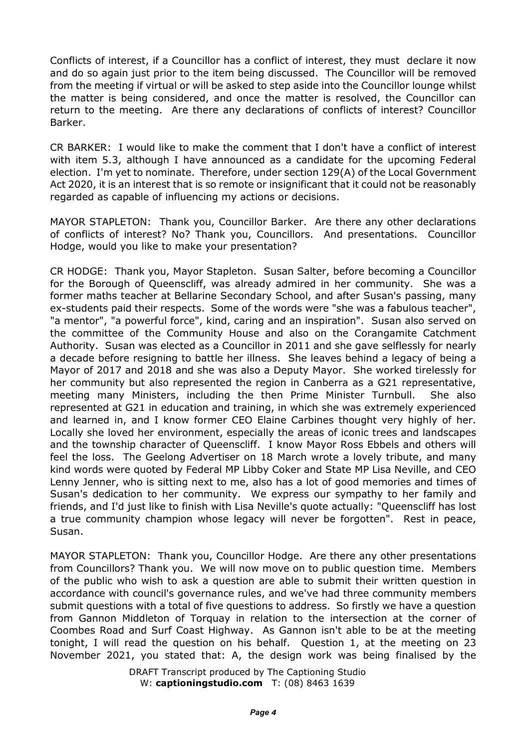Conflicts of interest, if a Councillor has a conflict of interest, they must declare it now and do so again just prior to the item being discussed. The Councillor will be removed from the meeting if virtual or will be asked to step aside into the Councillor lounge whilst the matter is being considered, and once the matter is resolved, the Councillor can return to the meeting. Are there any declarations of conflicts of interest? Councillor Barker.

CR BARKER: I would like to make the comment that I don't have a conflict of interest with item 5.3, although I have announced as a candidate for the upcoming Federal election. I'm yet to nominate. Therefore, under section 129(A) of the Local Government Act 2020, it is an interest that is so remote or insignificant that it could not be reasonably regarded as capable of influencing my actions or decisions.

MAYOR STAPLETON: Thank you, Councillor Barker. Are there any other declarations of conflicts of interest? No? Thank you, Councillors. And presentations. Councillor Hodge, would you like to make your presentation?

CR HODGE: Thank you, Mayor Stapleton. Susan Salter, before becoming a Councillor for the Borough of Queenscliff, was already admired in her community. She was a former maths teacher at Bellarine Secondary School, and after Susan's passing, many ex-students paid their respects. Some of the words were "she was a fabulous teacher", "a mentor", "a powerful force", kind, caring and an inspiration". Susan also served on the committee of the Community House and also on the Corangamite Catchment Authority. Susan was elected as a Councillor in 2011 and she gave selflessly for nearly a decade before resigning to battle her illness. She leaves behind a legacy of being a Mayor of 2017 and 2018 and she was also a Deputy Mayor. She worked tirelessly for her community but also represented the region in Canberra as a G21 representative, meeting many Ministers, including the then Prime Minister Turnbull. She also represented at G21 in education and training, in which she was extremely experienced and learned in, and I know former CEO Elaine Carbines thought very highly of her. Locally she loved her environment, especially the areas of iconic trees and landscapes and the township character of Queenscliff. I know Mayor Ross Ebbels and others will feel the loss. The Geelong Advertiser on 18 March wrote a lovely tribute, and many kind words were quoted by Federal MP Libby Coker and State MP Lisa Neville, and CEO Lenny Jenner, who is sitting next to me, also has a lot of good memories and times of Susan's dedication to her community. We express our sympathy to her family and friends, and I'd just like to finish with Lisa Neville's quote actually: "Queenscliff has lost a true community champion whose legacy will never be forgotten". Rest in peace, Susan.

MAYOR STAPLETON: Thank you, Councillor Hodge. Are there any other presentations from Councillors? Thank you. We will now move on to public question time. Members of the public who wish to ask a question are able to submit their written question in accordance with council's governance rules, and we've had three community members submit questions with a total of five questions to address. So firstly we have a question from Gannon Middleton of Torquay in relation to the intersection at the corner of Coombes Road and Surf Coast Highway. As Gannon isn't able to be at the meeting tonight, I will read the question on his behalf. Question 1, at the meeting on 23 November 2021, you stated that: A, the design work was being finalised by the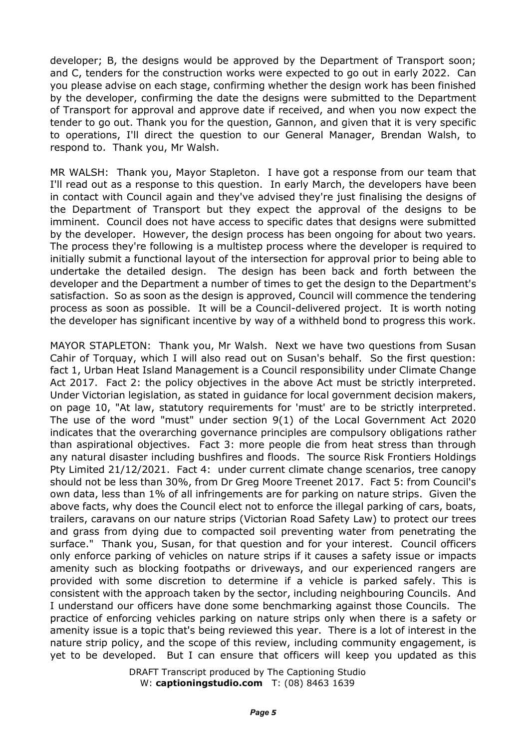developer; B, the designs would be approved by the Department of Transport soon; and C, tenders for the construction works were expected to go out in early 2022. Can you please advise on each stage, confirming whether the design work has been finished by the developer, confirming the date the designs were submitted to the Department of Transport for approval and approve date if received, and when you now expect the tender to go out. Thank you for the question, Gannon, and given that it is very specific to operations, I'll direct the question to our General Manager, Brendan Walsh, to respond to. Thank you, Mr Walsh.

MR WALSH: Thank you, Mayor Stapleton. I have got a response from our team that I'll read out as a response to this question. In early March, the developers have been in contact with Council again and they've advised they're just finalising the designs of the Department of Transport but they expect the approval of the designs to be imminent. Council does not have access to specific dates that designs were submitted by the developer. However, the design process has been ongoing for about two years. The process they're following is a multistep process where the developer is required to initially submit a functional layout of the intersection for approval prior to being able to undertake the detailed design. The design has been back and forth between the developer and the Department a number of times to get the design to the Department's satisfaction. So as soon as the design is approved, Council will commence the tendering process as soon as possible. It will be a Council-delivered project. It is worth noting the developer has significant incentive by way of a withheld bond to progress this work.

MAYOR STAPLETON: Thank you, Mr Walsh. Next we have two questions from Susan Cahir of Torquay, which I will also read out on Susan's behalf. So the first question: fact 1, Urban Heat Island Management is a Council responsibility under Climate Change Act 2017. Fact 2: the policy objectives in the above Act must be strictly interpreted. Under Victorian legislation, as stated in guidance for local government decision makers, on page 10, "At law, statutory requirements for 'must' are to be strictly interpreted. The use of the word "must" under section 9(1) of the Local Government Act 2020 indicates that the overarching governance principles are compulsory obligations rather than aspirational objectives. Fact 3: more people die from heat stress than through any natural disaster including bushfires and floods. The source Risk Frontiers Holdings Pty Limited 21/12/2021. Fact 4: under current climate change scenarios, tree canopy should not be less than 30%, from Dr Greg Moore Treenet 2017. Fact 5: from Council's own data, less than 1% of all infringements are for parking on nature strips. Given the above facts, why does the Council elect not to enforce the illegal parking of cars, boats, trailers, caravans on our nature strips (Victorian Road Safety Law) to protect our trees and grass from dying due to compacted soil preventing water from penetrating the surface." Thank you, Susan, for that question and for your interest. Council officers only enforce parking of vehicles on nature strips if it causes a safety issue or impacts amenity such as blocking footpaths or driveways, and our experienced rangers are provided with some discretion to determine if a vehicle is parked safely. This is consistent with the approach taken by the sector, including neighbouring Councils. And I understand our officers have done some benchmarking against those Councils. The practice of enforcing vehicles parking on nature strips only when there is a safety or amenity issue is a topic that's being reviewed this year. There is a lot of interest in the nature strip policy, and the scope of this review, including community engagement, is yet to be developed. But I can ensure that officers will keep you updated as this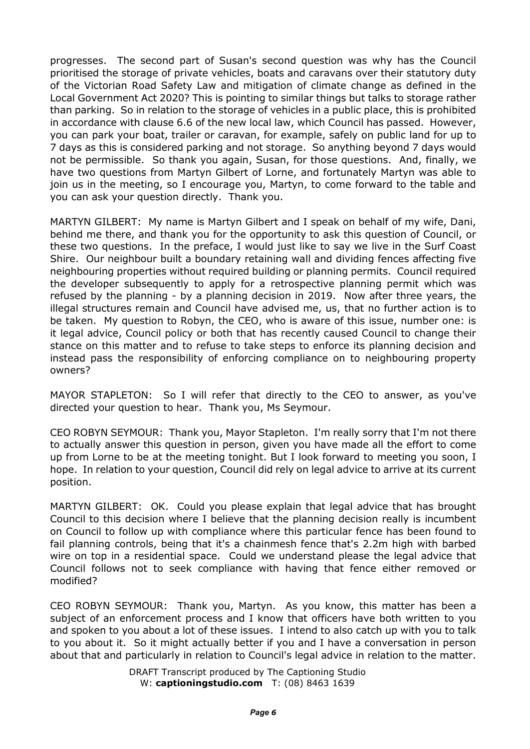progresses. The second part of Susan's second question was why has the Council prioritised the storage of private vehicles, boats and caravans over their statutory duty of the Victorian Road Safety Law and mitigation of climate change as defined in the Local Government Act 2020? This is pointing to similar things but talks to storage rather than parking. So in relation to the storage of vehicles in a public place, this is prohibited in accordance with clause 6.6 of the new local law, which Council has passed. However, you can park your boat, trailer or caravan, for example, safely on public land for up to 7 days as this is considered parking and not storage. So anything beyond 7 days would not be permissible. So thank you again, Susan, for those questions. And, finally, we have two questions from Martyn Gilbert of Lorne, and fortunately Martyn was able to join us in the meeting, so I encourage you, Martyn, to come forward to the table and you can ask your question directly. Thank you.

MARTYN GILBERT: My name is Martyn Gilbert and I speak on behalf of my wife, Dani, behind me there, and thank you for the opportunity to ask this question of Council, or these two questions. In the preface, I would just like to say we live in the Surf Coast Shire. Our neighbour built a boundary retaining wall and dividing fences affecting five neighbouring properties without required building or planning permits. Council required the developer subsequently to apply for a retrospective planning permit which was refused by the planning - by a planning decision in 2019. Now after three years, the illegal structures remain and Council have advised me, us, that no further action is to be taken. My question to Robyn, the CEO, who is aware of this issue, number one: is it legal advice, Council policy or both that has recently caused Council to change their stance on this matter and to refuse to take steps to enforce its planning decision and instead pass the responsibility of enforcing compliance on to neighbouring property owners?

MAYOR STAPLETON: So I will refer that directly to the CEO to answer, as you've directed your question to hear. Thank you, Ms Seymour.

CEO ROBYN SEYMOUR: Thank you, Mayor Stapleton. I'm really sorry that I'm not there to actually answer this question in person, given you have made all the effort to come up from Lorne to be at the meeting tonight. But I look forward to meeting you soon, I hope. In relation to your question, Council did rely on legal advice to arrive at its current position.

MARTYN GILBERT: OK. Could you please explain that legal advice that has brought Council to this decision where I believe that the planning decision really is incumbent on Council to follow up with compliance where this particular fence has been found to fail planning controls, being that it's a chainmesh fence that's 2.2m high with barbed wire on top in a residential space. Could we understand please the legal advice that Council follows not to seek compliance with having that fence either removed or modified?

CEO ROBYN SEYMOUR: Thank you, Martyn. As you know, this matter has been a subject of an enforcement process and I know that officers have both written to you and spoken to you about a lot of these issues. I intend to also catch up with you to talk to you about it. So it might actually better if you and I have a conversation in person about that and particularly in relation to Council's legal advice in relation to the matter.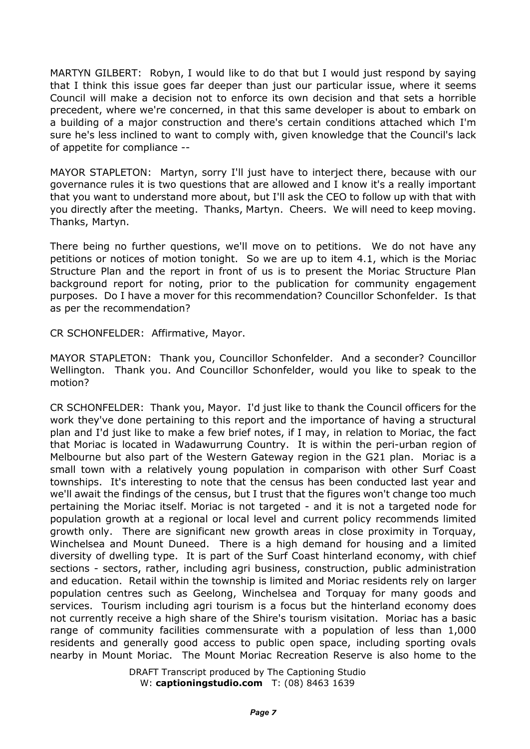MARTYN GILBERT: Robyn, I would like to do that but I would just respond by saying that I think this issue goes far deeper than just our particular issue, where it seems Council will make a decision not to enforce its own decision and that sets a horrible precedent, where we're concerned, in that this same developer is about to embark on a building of a major construction and there's certain conditions attached which I'm sure he's less inclined to want to comply with, given knowledge that the Council's lack of appetite for compliance --

MAYOR STAPLETON: Martyn, sorry I'll just have to interject there, because with our governance rules it is two questions that are allowed and I know it's a really important that you want to understand more about, but I'll ask the CEO to follow up with that with you directly after the meeting. Thanks, Martyn. Cheers. We will need to keep moving. Thanks, Martyn.

There being no further questions, we'll move on to petitions. We do not have any petitions or notices of motion tonight. So we are up to item 4.1, which is the Moriac Structure Plan and the report in front of us is to present the Moriac Structure Plan background report for noting, prior to the publication for community engagement purposes. Do I have a mover for this recommendation? Councillor Schonfelder. Is that as per the recommendation?

CR SCHONFELDER: Affirmative, Mayor.

MAYOR STAPLETON: Thank you, Councillor Schonfelder. And a seconder? Councillor Wellington. Thank you. And Councillor Schonfelder, would you like to speak to the motion?

CR SCHONFELDER: Thank you, Mayor. I'd just like to thank the Council officers for the work they've done pertaining to this report and the importance of having a structural plan and I'd just like to make a few brief notes, if I may, in relation to Moriac, the fact that Moriac is located in Wadawurrung Country. It is within the peri-urban region of Melbourne but also part of the Western Gateway region in the G21 plan. Moriac is a small town with a relatively young population in comparison with other Surf Coast townships. It's interesting to note that the census has been conducted last year and we'll await the findings of the census, but I trust that the figures won't change too much pertaining the Moriac itself. Moriac is not targeted - and it is not a targeted node for population growth at a regional or local level and current policy recommends limited growth only. There are significant new growth areas in close proximity in Torquay, Winchelsea and Mount Duneed. There is a high demand for housing and a limited diversity of dwelling type. It is part of the Surf Coast hinterland economy, with chief sections - sectors, rather, including agri business, construction, public administration and education. Retail within the township is limited and Moriac residents rely on larger population centres such as Geelong, Winchelsea and Torquay for many goods and services. Tourism including agri tourism is a focus but the hinterland economy does not currently receive a high share of the Shire's tourism visitation. Moriac has a basic range of community facilities commensurate with a population of less than 1,000 residents and generally good access to public open space, including sporting ovals nearby in Mount Moriac. The Mount Moriac Recreation Reserve is also home to the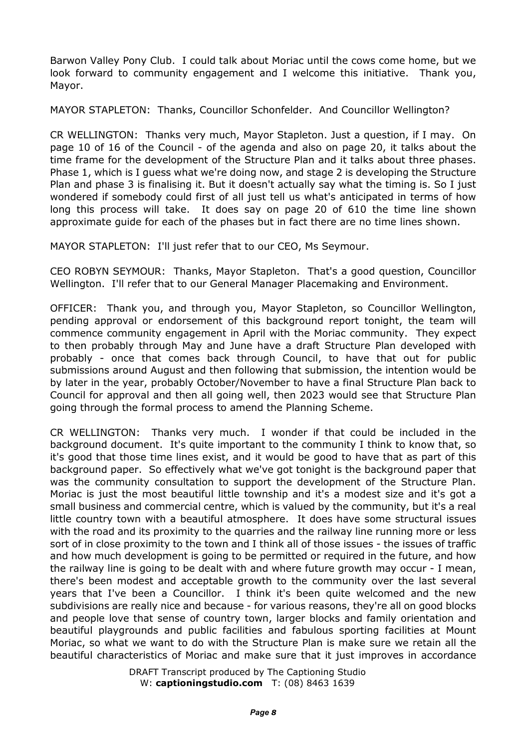Barwon Valley Pony Club. I could talk about Moriac until the cows come home, but we look forward to community engagement and I welcome this initiative. Thank you, Mayor.

MAYOR STAPLETON: Thanks, Councillor Schonfelder. And Councillor Wellington?

CR WELLINGTON: Thanks very much, Mayor Stapleton. Just a question, if I may. On page 10 of 16 of the Council - of the agenda and also on page 20, it talks about the time frame for the development of the Structure Plan and it talks about three phases. Phase 1, which is I guess what we're doing now, and stage 2 is developing the Structure Plan and phase 3 is finalising it. But it doesn't actually say what the timing is. So I just wondered if somebody could first of all just tell us what's anticipated in terms of how long this process will take. It does say on page 20 of 610 the time line shown approximate guide for each of the phases but in fact there are no time lines shown.

MAYOR STAPLETON: I'll just refer that to our CEO, Ms Seymour.

CEO ROBYN SEYMOUR: Thanks, Mayor Stapleton. That's a good question, Councillor Wellington. I'll refer that to our General Manager Placemaking and Environment.

OFFICER: Thank you, and through you, Mayor Stapleton, so Councillor Wellington, pending approval or endorsement of this background report tonight, the team will commence community engagement in April with the Moriac community. They expect to then probably through May and June have a draft Structure Plan developed with probably - once that comes back through Council, to have that out for public submissions around August and then following that submission, the intention would be by later in the year, probably October/November to have a final Structure Plan back to Council for approval and then all going well, then 2023 would see that Structure Plan going through the formal process to amend the Planning Scheme.

CR WELLINGTON: Thanks very much. I wonder if that could be included in the background document. It's quite important to the community I think to know that, so it's good that those time lines exist, and it would be good to have that as part of this background paper. So effectively what we've got tonight is the background paper that was the community consultation to support the development of the Structure Plan. Moriac is just the most beautiful little township and it's a modest size and it's got a small business and commercial centre, which is valued by the community, but it's a real little country town with a beautiful atmosphere. It does have some structural issues with the road and its proximity to the quarries and the railway line running more or less sort of in close proximity to the town and I think all of those issues - the issues of traffic and how much development is going to be permitted or required in the future, and how the railway line is going to be dealt with and where future growth may occur - I mean, there's been modest and acceptable growth to the community over the last several years that I've been a Councillor. I think it's been quite welcomed and the new subdivisions are really nice and because - for various reasons, they're all on good blocks and people love that sense of country town, larger blocks and family orientation and beautiful playgrounds and public facilities and fabulous sporting facilities at Mount Moriac, so what we want to do with the Structure Plan is make sure we retain all the beautiful characteristics of Moriac and make sure that it just improves in accordance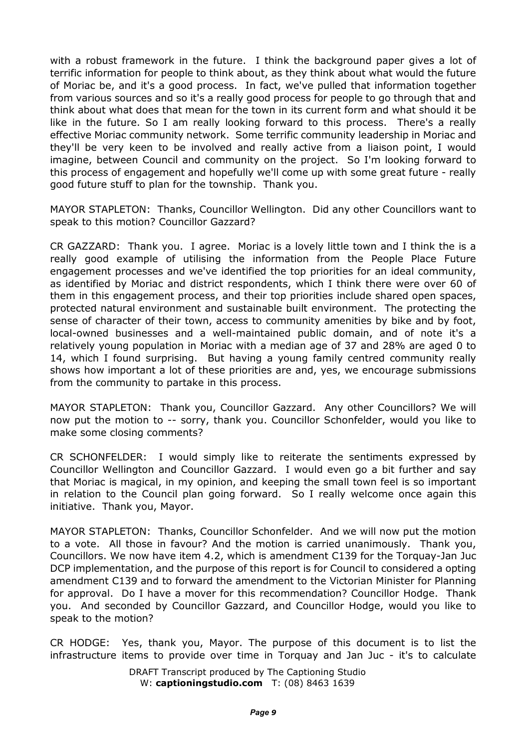with a robust framework in the future. I think the background paper gives a lot of terrific information for people to think about, as they think about what would the future of Moriac be, and it's a good process. In fact, we've pulled that information together from various sources and so it's a really good process for people to go through that and think about what does that mean for the town in its current form and what should it be like in the future. So I am really looking forward to this process. There's a really effective Moriac community network. Some terrific community leadership in Moriac and they'll be very keen to be involved and really active from a liaison point, I would imagine, between Council and community on the project. So I'm looking forward to this process of engagement and hopefully we'll come up with some great future - really good future stuff to plan for the township. Thank you.

MAYOR STAPLETON: Thanks, Councillor Wellington. Did any other Councillors want to speak to this motion? Councillor Gazzard?

CR GAZZARD: Thank you. I agree. Moriac is a lovely little town and I think the is a really good example of utilising the information from the People Place Future engagement processes and we've identified the top priorities for an ideal community, as identified by Moriac and district respondents, which I think there were over 60 of them in this engagement process, and their top priorities include shared open spaces, protected natural environment and sustainable built environment. The protecting the sense of character of their town, access to community amenities by bike and by foot, local-owned businesses and a well-maintained public domain, and of note it's a relatively young population in Moriac with a median age of 37 and 28% are aged 0 to 14, which I found surprising. But having a young family centred community really shows how important a lot of these priorities are and, yes, we encourage submissions from the community to partake in this process.

MAYOR STAPLETON: Thank you, Councillor Gazzard. Any other Councillors? We will now put the motion to -- sorry, thank you. Councillor Schonfelder, would you like to make some closing comments?

CR SCHONFELDER: I would simply like to reiterate the sentiments expressed by Councillor Wellington and Councillor Gazzard. I would even go a bit further and say that Moriac is magical, in my opinion, and keeping the small town feel is so important in relation to the Council plan going forward. So I really welcome once again this initiative. Thank you, Mayor.

MAYOR STAPLETON: Thanks, Councillor Schonfelder. And we will now put the motion to a vote. All those in favour? And the motion is carried unanimously. Thank you, Councillors. We now have item 4.2, which is amendment C139 for the Torquay-Jan Juc DCP implementation, and the purpose of this report is for Council to considered a opting amendment C139 and to forward the amendment to the Victorian Minister for Planning for approval. Do I have a mover for this recommendation? Councillor Hodge. Thank you. And seconded by Councillor Gazzard, and Councillor Hodge, would you like to speak to the motion?

CR HODGE: Yes, thank you, Mayor. The purpose of this document is to list the infrastructure items to provide over time in Torquay and Jan Juc - it's to calculate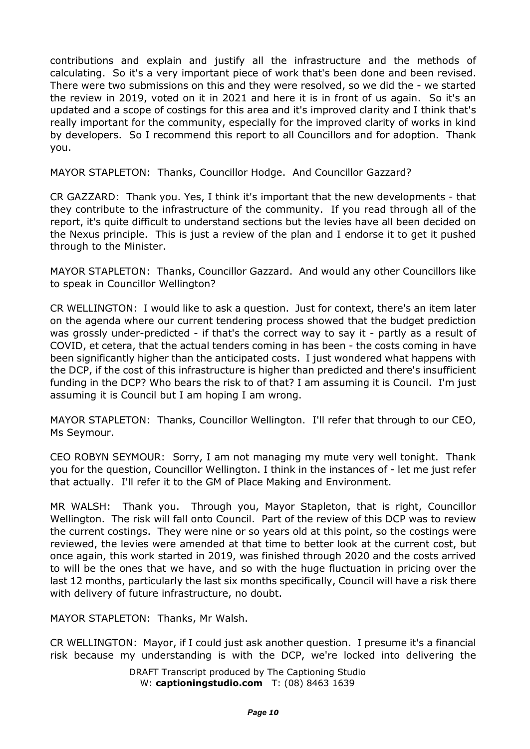contributions and explain and justify all the infrastructure and the methods of calculating. So it's a very important piece of work that's been done and been revised. There were two submissions on this and they were resolved, so we did the - we started the review in 2019, voted on it in 2021 and here it is in front of us again. So it's an updated and a scope of costings for this area and it's improved clarity and I think that's really important for the community, especially for the improved clarity of works in kind by developers. So I recommend this report to all Councillors and for adoption. Thank you.

MAYOR STAPLETON: Thanks, Councillor Hodge. And Councillor Gazzard?

CR GAZZARD: Thank you. Yes, I think it's important that the new developments - that they contribute to the infrastructure of the community. If you read through all of the report, it's quite difficult to understand sections but the levies have all been decided on the Nexus principle. This is just a review of the plan and I endorse it to get it pushed through to the Minister.

MAYOR STAPLETON: Thanks, Councillor Gazzard. And would any other Councillors like to speak in Councillor Wellington?

CR WELLINGTON: I would like to ask a question. Just for context, there's an item later on the agenda where our current tendering process showed that the budget prediction was grossly under-predicted - if that's the correct way to say it - partly as a result of COVID, et cetera, that the actual tenders coming in has been - the costs coming in have been significantly higher than the anticipated costs. I just wondered what happens with the DCP, if the cost of this infrastructure is higher than predicted and there's insufficient funding in the DCP? Who bears the risk to of that? I am assuming it is Council. I'm just assuming it is Council but I am hoping I am wrong.

MAYOR STAPLETON: Thanks, Councillor Wellington. I'll refer that through to our CEO, Ms Seymour.

CEO ROBYN SEYMOUR: Sorry, I am not managing my mute very well tonight. Thank you for the question, Councillor Wellington. I think in the instances of - let me just refer that actually. I'll refer it to the GM of Place Making and Environment.

MR WALSH: Thank you. Through you, Mayor Stapleton, that is right, Councillor Wellington. The risk will fall onto Council. Part of the review of this DCP was to review the current costings. They were nine or so years old at this point, so the costings were reviewed, the levies were amended at that time to better look at the current cost, but once again, this work started in 2019, was finished through 2020 and the costs arrived to will be the ones that we have, and so with the huge fluctuation in pricing over the last 12 months, particularly the last six months specifically, Council will have a risk there with delivery of future infrastructure, no doubt.

MAYOR STAPLETON: Thanks, Mr Walsh.

CR WELLINGTON: Mayor, if I could just ask another question. I presume it's a financial risk because my understanding is with the DCP, we're locked into delivering the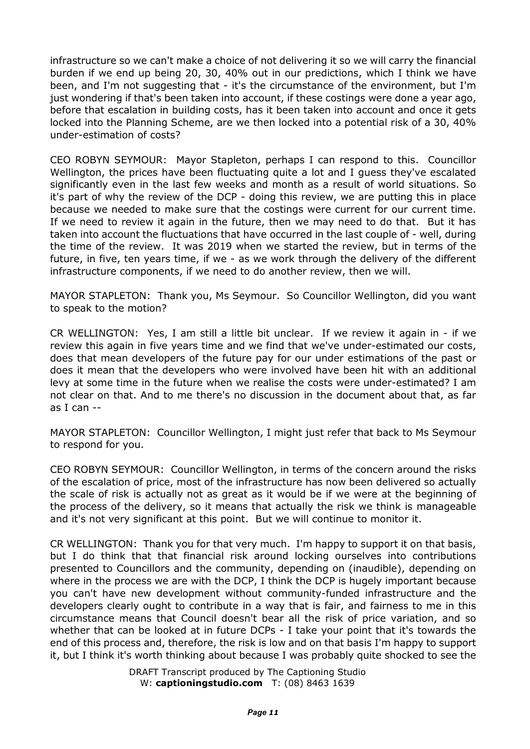infrastructure so we can't make a choice of not delivering it so we will carry the financial burden if we end up being 20, 30, 40% out in our predictions, which I think we have been, and I'm not suggesting that - it's the circumstance of the environment, but I'm just wondering if that's been taken into account, if these costings were done a year ago, before that escalation in building costs, has it been taken into account and once it gets locked into the Planning Scheme, are we then locked into a potential risk of a 30, 40% under-estimation of costs?

CEO ROBYN SEYMOUR: Mayor Stapleton, perhaps I can respond to this. Councillor Wellington, the prices have been fluctuating quite a lot and I guess they've escalated significantly even in the last few weeks and month as a result of world situations. So it's part of why the review of the DCP - doing this review, we are putting this in place because we needed to make sure that the costings were current for our current time. If we need to review it again in the future, then we may need to do that. But it has taken into account the fluctuations that have occurred in the last couple of - well, during the time of the review. It was 2019 when we started the review, but in terms of the future, in five, ten years time, if we - as we work through the delivery of the different infrastructure components, if we need to do another review, then we will.

MAYOR STAPLETON: Thank you, Ms Seymour. So Councillor Wellington, did you want to speak to the motion?

CR WELLINGTON: Yes, I am still a little bit unclear. If we review it again in - if we review this again in five years time and we find that we've under-estimated our costs, does that mean developers of the future pay for our under estimations of the past or does it mean that the developers who were involved have been hit with an additional levy at some time in the future when we realise the costs were under-estimated? I am not clear on that. And to me there's no discussion in the document about that, as far as I can --

MAYOR STAPLETON: Councillor Wellington, I might just refer that back to Ms Seymour to respond for you.

CEO ROBYN SEYMOUR: Councillor Wellington, in terms of the concern around the risks of the escalation of price, most of the infrastructure has now been delivered so actually the scale of risk is actually not as great as it would be if we were at the beginning of the process of the delivery, so it means that actually the risk we think is manageable and it's not very significant at this point. But we will continue to monitor it.

CR WELLINGTON: Thank you for that very much. I'm happy to support it on that basis, but I do think that that financial risk around locking ourselves into contributions presented to Councillors and the community, depending on (inaudible), depending on where in the process we are with the DCP, I think the DCP is hugely important because you can't have new development without community-funded infrastructure and the developers clearly ought to contribute in a way that is fair, and fairness to me in this circumstance means that Council doesn't bear all the risk of price variation, and so whether that can be looked at in future DCPs - I take your point that it's towards the end of this process and, therefore, the risk is low and on that basis I'm happy to support it, but I think it's worth thinking about because I was probably quite shocked to see the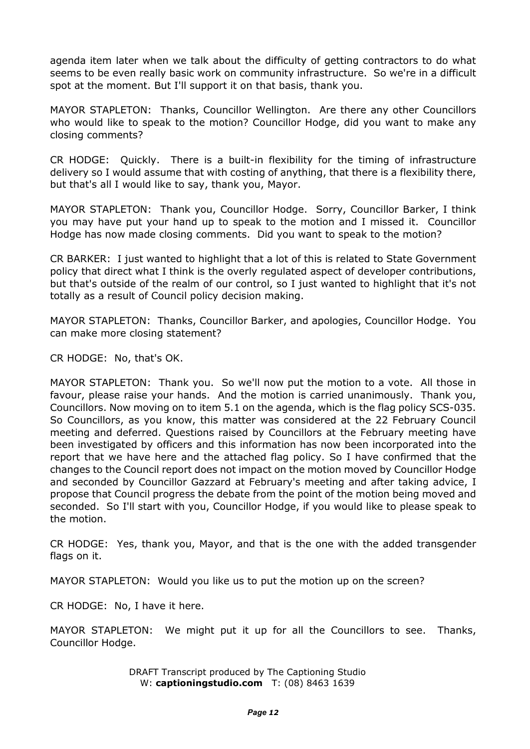agenda item later when we talk about the difficulty of getting contractors to do what seems to be even really basic work on community infrastructure. So we're in a difficult spot at the moment. But I'll support it on that basis, thank you.

MAYOR STAPLETON: Thanks, Councillor Wellington. Are there any other Councillors who would like to speak to the motion? Councillor Hodge, did you want to make any closing comments?

CR HODGE: Quickly. There is a built-in flexibility for the timing of infrastructure delivery so I would assume that with costing of anything, that there is a flexibility there, but that's all I would like to say, thank you, Mayor.

MAYOR STAPLETON: Thank you, Councillor Hodge. Sorry, Councillor Barker, I think you may have put your hand up to speak to the motion and I missed it. Councillor Hodge has now made closing comments. Did you want to speak to the motion?

CR BARKER: I just wanted to highlight that a lot of this is related to State Government policy that direct what I think is the overly regulated aspect of developer contributions, but that's outside of the realm of our control, so I just wanted to highlight that it's not totally as a result of Council policy decision making.

MAYOR STAPLETON: Thanks, Councillor Barker, and apologies, Councillor Hodge. You can make more closing statement?

CR HODGE: No, that's OK.

MAYOR STAPLETON: Thank you. So we'll now put the motion to a vote. All those in favour, please raise your hands. And the motion is carried unanimously. Thank you, Councillors. Now moving on to item 5.1 on the agenda, which is the flag policy SCS-035. So Councillors, as you know, this matter was considered at the 22 February Council meeting and deferred. Questions raised by Councillors at the February meeting have been investigated by officers and this information has now been incorporated into the report that we have here and the attached flag policy. So I have confirmed that the changes to the Council report does not impact on the motion moved by Councillor Hodge and seconded by Councillor Gazzard at February's meeting and after taking advice, I propose that Council progress the debate from the point of the motion being moved and seconded. So I'll start with you, Councillor Hodge, if you would like to please speak to the motion.

CR HODGE: Yes, thank you, Mayor, and that is the one with the added transgender flags on it.

MAYOR STAPLETON: Would you like us to put the motion up on the screen?

CR HODGE: No, I have it here.

MAYOR STAPLETON: We might put it up for all the Councillors to see. Thanks, Councillor Hodge.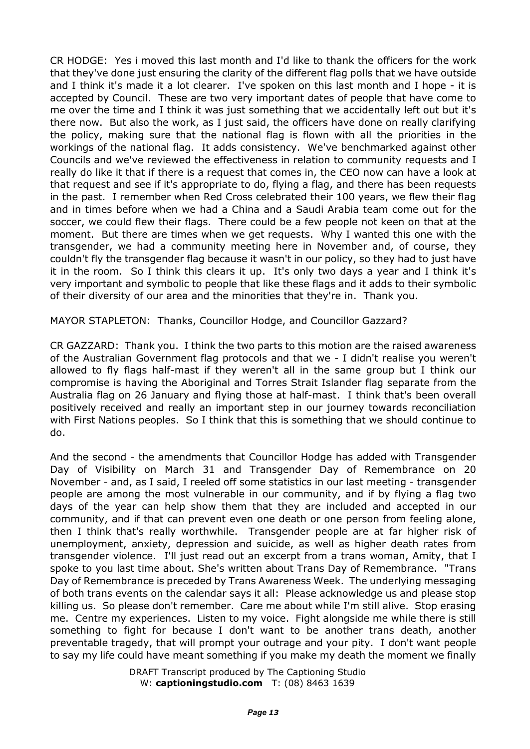CR HODGE: Yes i moved this last month and I'd like to thank the officers for the work that they've done just ensuring the clarity of the different flag polls that we have outside and I think it's made it a lot clearer. I've spoken on this last month and I hope - it is accepted by Council. These are two very important dates of people that have come to me over the time and I think it was just something that we accidentally left out but it's there now. But also the work, as I just said, the officers have done on really clarifying the policy, making sure that the national flag is flown with all the priorities in the workings of the national flag. It adds consistency. We've benchmarked against other Councils and we've reviewed the effectiveness in relation to community requests and I really do like it that if there is a request that comes in, the CEO now can have a look at that request and see if it's appropriate to do, flying a flag, and there has been requests in the past. I remember when Red Cross celebrated their 100 years, we flew their flag and in times before when we had a China and a Saudi Arabia team come out for the soccer, we could flew their flags. There could be a few people not keen on that at the moment. But there are times when we get requests. Why I wanted this one with the transgender, we had a community meeting here in November and, of course, they couldn't fly the transgender flag because it wasn't in our policy, so they had to just have it in the room. So I think this clears it up. It's only two days a year and I think it's very important and symbolic to people that like these flags and it adds to their symbolic of their diversity of our area and the minorities that they're in. Thank you.

MAYOR STAPLETON: Thanks, Councillor Hodge, and Councillor Gazzard?

CR GAZZARD: Thank you. I think the two parts to this motion are the raised awareness of the Australian Government flag protocols and that we - I didn't realise you weren't allowed to fly flags half-mast if they weren't all in the same group but I think our compromise is having the Aboriginal and Torres Strait Islander flag separate from the Australia flag on 26 January and flying those at half-mast. I think that's been overall positively received and really an important step in our journey towards reconciliation with First Nations peoples. So I think that this is something that we should continue to do.

And the second - the amendments that Councillor Hodge has added with Transgender Day of Visibility on March 31 and Transgender Day of Remembrance on 20 November - and, as I said, I reeled off some statistics in our last meeting - transgender people are among the most vulnerable in our community, and if by flying a flag two days of the year can help show them that they are included and accepted in our community, and if that can prevent even one death or one person from feeling alone, then I think that's really worthwhile. Transgender people are at far higher risk of unemployment, anxiety, depression and suicide, as well as higher death rates from transgender violence. I'll just read out an excerpt from a trans woman, Amity, that I spoke to you last time about. She's written about Trans Day of Remembrance. "Trans Day of Remembrance is preceded by Trans Awareness Week. The underlying messaging of both trans events on the calendar says it all: Please acknowledge us and please stop killing us. So please don't remember. Care me about while I'm still alive. Stop erasing me. Centre my experiences. Listen to my voice. Fight alongside me while there is still something to fight for because I don't want to be another trans death, another preventable tragedy, that will prompt your outrage and your pity. I don't want people to say my life could have meant something if you make my death the moment we finally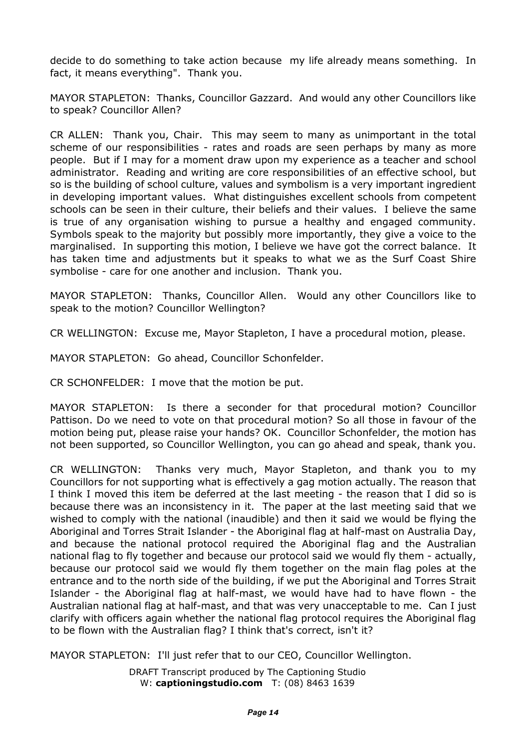decide to do something to take action because my life already means something. In fact, it means everything". Thank you.

MAYOR STAPLETON: Thanks, Councillor Gazzard. And would any other Councillors like to speak? Councillor Allen?

CR ALLEN: Thank you, Chair. This may seem to many as unimportant in the total scheme of our responsibilities - rates and roads are seen perhaps by many as more people. But if I may for a moment draw upon my experience as a teacher and school administrator. Reading and writing are core responsibilities of an effective school, but so is the building of school culture, values and symbolism is a very important ingredient in developing important values. What distinguishes excellent schools from competent schools can be seen in their culture, their beliefs and their values. I believe the same is true of any organisation wishing to pursue a healthy and engaged community. Symbols speak to the majority but possibly more importantly, they give a voice to the marginalised. In supporting this motion, I believe we have got the correct balance. It has taken time and adjustments but it speaks to what we as the Surf Coast Shire symbolise - care for one another and inclusion. Thank you.

MAYOR STAPLETON: Thanks, Councillor Allen. Would any other Councillors like to speak to the motion? Councillor Wellington?

CR WELLINGTON: Excuse me, Mayor Stapleton, I have a procedural motion, please.

MAYOR STAPLETON: Go ahead, Councillor Schonfelder.

CR SCHONFELDER: I move that the motion be put.

MAYOR STAPLETON: Is there a seconder for that procedural motion? Councillor Pattison. Do we need to vote on that procedural motion? So all those in favour of the motion being put, please raise your hands? OK. Councillor Schonfelder, the motion has not been supported, so Councillor Wellington, you can go ahead and speak, thank you.

CR WELLINGTON: Thanks very much, Mayor Stapleton, and thank you to my Councillors for not supporting what is effectively a gag motion actually. The reason that I think I moved this item be deferred at the last meeting - the reason that I did so is because there was an inconsistency in it. The paper at the last meeting said that we wished to comply with the national (inaudible) and then it said we would be flying the Aboriginal and Torres Strait Islander - the Aboriginal flag at half-mast on Australia Day, and because the national protocol required the Aboriginal flag and the Australian national flag to fly together and because our protocol said we would fly them - actually, because our protocol said we would fly them together on the main flag poles at the entrance and to the north side of the building, if we put the Aboriginal and Torres Strait Islander - the Aboriginal flag at half-mast, we would have had to have flown - the Australian national flag at half-mast, and that was very unacceptable to me. Can I just clarify with officers again whether the national flag protocol requires the Aboriginal flag to be flown with the Australian flag? I think that's correct, isn't it?

MAYOR STAPLETON: I'll just refer that to our CEO, Councillor Wellington.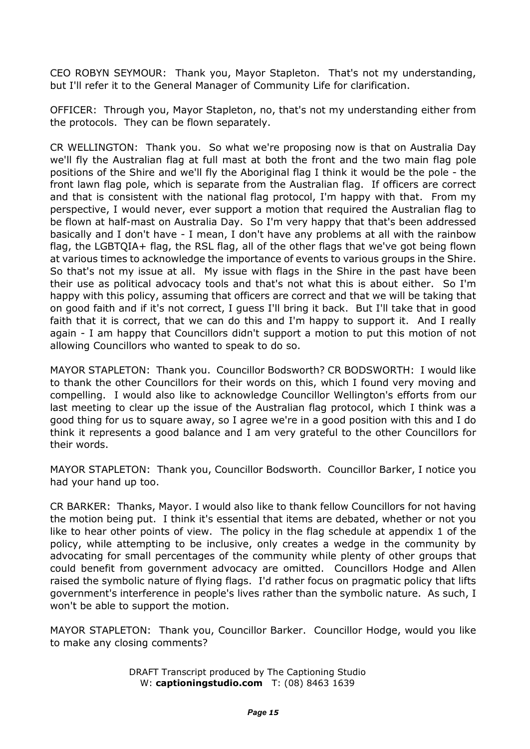CEO ROBYN SEYMOUR: Thank you, Mayor Stapleton. That's not my understanding, but I'll refer it to the General Manager of Community Life for clarification.

OFFICER: Through you, Mayor Stapleton, no, that's not my understanding either from the protocols. They can be flown separately.

CR WELLINGTON: Thank you. So what we're proposing now is that on Australia Day we'll fly the Australian flag at full mast at both the front and the two main flag pole positions of the Shire and we'll fly the Aboriginal flag I think it would be the pole - the front lawn flag pole, which is separate from the Australian flag. If officers are correct and that is consistent with the national flag protocol, I'm happy with that. From my perspective, I would never, ever support a motion that required the Australian flag to be flown at half-mast on Australia Day. So I'm very happy that that's been addressed basically and I don't have - I mean, I don't have any problems at all with the rainbow flag, the LGBTQIA+ flag, the RSL flag, all of the other flags that we've got being flown at various times to acknowledge the importance of events to various groups in the Shire. So that's not my issue at all. My issue with flags in the Shire in the past have been their use as political advocacy tools and that's not what this is about either. So I'm happy with this policy, assuming that officers are correct and that we will be taking that on good faith and if it's not correct, I guess I'll bring it back. But I'll take that in good faith that it is correct, that we can do this and I'm happy to support it. And I really again - I am happy that Councillors didn't support a motion to put this motion of not allowing Councillors who wanted to speak to do so.

MAYOR STAPLETON: Thank you. Councillor Bodsworth? CR BODSWORTH: I would like to thank the other Councillors for their words on this, which I found very moving and compelling. I would also like to acknowledge Councillor Wellington's efforts from our last meeting to clear up the issue of the Australian flag protocol, which I think was a good thing for us to square away, so I agree we're in a good position with this and I do think it represents a good balance and I am very grateful to the other Councillors for their words.

MAYOR STAPLETON: Thank you, Councillor Bodsworth. Councillor Barker, I notice you had your hand up too.

CR BARKER: Thanks, Mayor. I would also like to thank fellow Councillors for not having the motion being put. I think it's essential that items are debated, whether or not you like to hear other points of view. The policy in the flag schedule at appendix 1 of the policy, while attempting to be inclusive, only creates a wedge in the community by advocating for small percentages of the community while plenty of other groups that could benefit from government advocacy are omitted. Councillors Hodge and Allen raised the symbolic nature of flying flags. I'd rather focus on pragmatic policy that lifts government's interference in people's lives rather than the symbolic nature. As such, I won't be able to support the motion.

MAYOR STAPLETON: Thank you, Councillor Barker. Councillor Hodge, would you like to make any closing comments?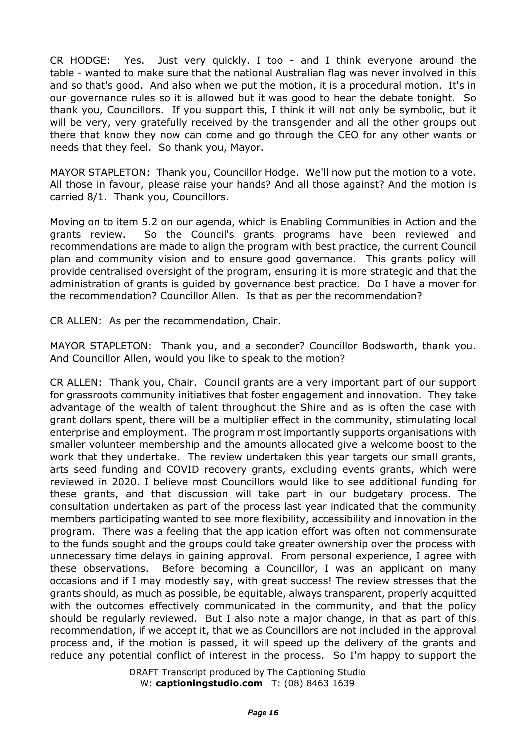CR HODGE: Yes. Just very quickly. I too - and I think everyone around the table - wanted to make sure that the national Australian flag was never involved in this and so that's good. And also when we put the motion, it is a procedural motion. It's in our governance rules so it is allowed but it was good to hear the debate tonight. So thank you, Councillors. If you support this, I think it will not only be symbolic, but it will be very, very gratefully received by the transgender and all the other groups out there that know they now can come and go through the CEO for any other wants or needs that they feel. So thank you, Mayor.

MAYOR STAPLETON: Thank you, Councillor Hodge. We'll now put the motion to a vote. All those in favour, please raise your hands? And all those against? And the motion is carried 8/1. Thank you, Councillors.

Moving on to item 5.2 on our agenda, which is Enabling Communities in Action and the grants review. So the Council's grants programs have been reviewed and recommendations are made to align the program with best practice, the current Council plan and community vision and to ensure good governance. This grants policy will provide centralised oversight of the program, ensuring it is more strategic and that the administration of grants is guided by governance best practice. Do I have a mover for the recommendation? Councillor Allen. Is that as per the recommendation?

CR ALLEN: As per the recommendation, Chair.

MAYOR STAPLETON: Thank you, and a seconder? Councillor Bodsworth, thank you. And Councillor Allen, would you like to speak to the motion?

CR ALLEN: Thank you, Chair. Council grants are a very important part of our support for grassroots community initiatives that foster engagement and innovation. They take advantage of the wealth of talent throughout the Shire and as is often the case with grant dollars spent, there will be a multiplier effect in the community, stimulating local enterprise and employment. The program most importantly supports organisations with smaller volunteer membership and the amounts allocated give a welcome boost to the work that they undertake. The review undertaken this year targets our small grants, arts seed funding and COVID recovery grants, excluding events grants, which were reviewed in 2020. I believe most Councillors would like to see additional funding for these grants, and that discussion will take part in our budgetary process. The consultation undertaken as part of the process last year indicated that the community members participating wanted to see more flexibility, accessibility and innovation in the program. There was a feeling that the application effort was often not commensurate to the funds sought and the groups could take greater ownership over the process with unnecessary time delays in gaining approval. From personal experience, I agree with these observations. Before becoming a Councillor, I was an applicant on many occasions and if I may modestly say, with great success! The review stresses that the grants should, as much as possible, be equitable, always transparent, properly acquitted with the outcomes effectively communicated in the community, and that the policy should be regularly reviewed. But I also note a major change, in that as part of this recommendation, if we accept it, that we as Councillors are not included in the approval process and, if the motion is passed, it will speed up the delivery of the grants and reduce any potential conflict of interest in the process. So I'm happy to support the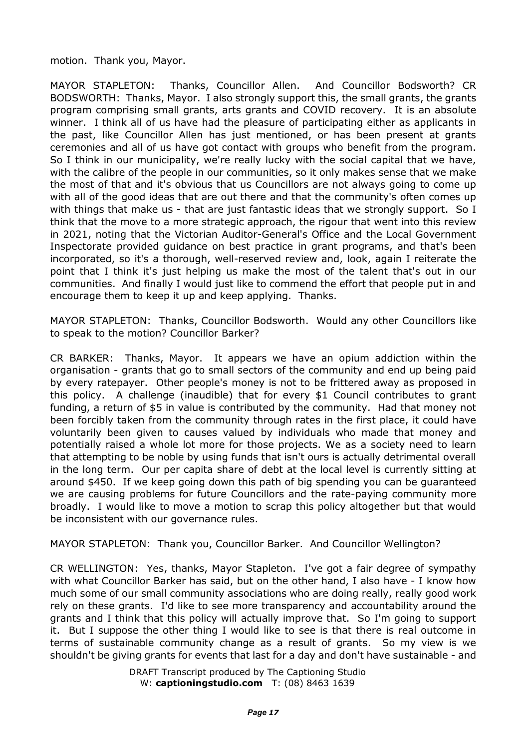motion. Thank you, Mayor.

MAYOR STAPLETON: Thanks, Councillor Allen. And Councillor Bodsworth? CR BODSWORTH: Thanks, Mayor. I also strongly support this, the small grants, the grants program comprising small grants, arts grants and COVID recovery. It is an absolute winner. I think all of us have had the pleasure of participating either as applicants in the past, like Councillor Allen has just mentioned, or has been present at grants ceremonies and all of us have got contact with groups who benefit from the program. So I think in our municipality, we're really lucky with the social capital that we have, with the calibre of the people in our communities, so it only makes sense that we make the most of that and it's obvious that us Councillors are not always going to come up with all of the good ideas that are out there and that the community's often comes up with things that make us - that are just fantastic ideas that we strongly support. So I think that the move to a more strategic approach, the rigour that went into this review in 2021, noting that the Victorian Auditor-General's Office and the Local Government Inspectorate provided guidance on best practice in grant programs, and that's been incorporated, so it's a thorough, well-reserved review and, look, again I reiterate the point that I think it's just helping us make the most of the talent that's out in our communities. And finally I would just like to commend the effort that people put in and encourage them to keep it up and keep applying. Thanks.

MAYOR STAPLETON: Thanks, Councillor Bodsworth. Would any other Councillors like to speak to the motion? Councillor Barker?

CR BARKER: Thanks, Mayor. It appears we have an opium addiction within the organisation - grants that go to small sectors of the community and end up being paid by every ratepayer. Other people's money is not to be frittered away as proposed in this policy. A challenge (inaudible) that for every \$1 Council contributes to grant funding, a return of \$5 in value is contributed by the community. Had that money not been forcibly taken from the community through rates in the first place, it could have voluntarily been given to causes valued by individuals who made that money and potentially raised a whole lot more for those projects. We as a society need to learn that attempting to be noble by using funds that isn't ours is actually detrimental overall in the long term. Our per capita share of debt at the local level is currently sitting at around \$450. If we keep going down this path of big spending you can be guaranteed we are causing problems for future Councillors and the rate-paying community more broadly. I would like to move a motion to scrap this policy altogether but that would be inconsistent with our governance rules.

MAYOR STAPLETON: Thank you, Councillor Barker. And Councillor Wellington?

CR WELLINGTON: Yes, thanks, Mayor Stapleton. I've got a fair degree of sympathy with what Councillor Barker has said, but on the other hand, I also have - I know how much some of our small community associations who are doing really, really good work rely on these grants. I'd like to see more transparency and accountability around the grants and I think that this policy will actually improve that. So I'm going to support it. But I suppose the other thing I would like to see is that there is real outcome in terms of sustainable community change as a result of grants. So my view is we shouldn't be giving grants for events that last for a day and don't have sustainable - and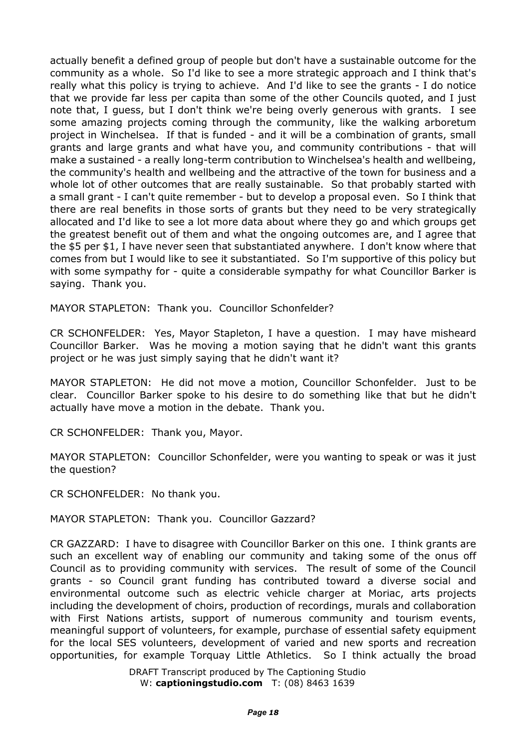actually benefit a defined group of people but don't have a sustainable outcome for the community as a whole. So I'd like to see a more strategic approach and I think that's really what this policy is trying to achieve. And I'd like to see the grants - I do notice that we provide far less per capita than some of the other Councils quoted, and I just note that, I guess, but I don't think we're being overly generous with grants. I see some amazing projects coming through the community, like the walking arboretum project in Winchelsea. If that is funded - and it will be a combination of grants, small grants and large grants and what have you, and community contributions - that will make a sustained - a really long-term contribution to Winchelsea's health and wellbeing, the community's health and wellbeing and the attractive of the town for business and a whole lot of other outcomes that are really sustainable. So that probably started with a small grant - I can't quite remember - but to develop a proposal even. So I think that there are real benefits in those sorts of grants but they need to be very strategically allocated and I'd like to see a lot more data about where they go and which groups get the greatest benefit out of them and what the ongoing outcomes are, and I agree that the \$5 per \$1, I have never seen that substantiated anywhere. I don't know where that comes from but I would like to see it substantiated. So I'm supportive of this policy but with some sympathy for - quite a considerable sympathy for what Councillor Barker is saying. Thank you.

MAYOR STAPLETON: Thank you. Councillor Schonfelder?

CR SCHONFELDER: Yes, Mayor Stapleton, I have a question. I may have misheard Councillor Barker. Was he moving a motion saying that he didn't want this grants project or he was just simply saying that he didn't want it?

MAYOR STAPLETON: He did not move a motion, Councillor Schonfelder. Just to be clear. Councillor Barker spoke to his desire to do something like that but he didn't actually have move a motion in the debate. Thank you.

CR SCHONFELDER: Thank you, Mayor.

MAYOR STAPLETON: Councillor Schonfelder, were you wanting to speak or was it just the question?

CR SCHONFELDER: No thank you.

MAYOR STAPLETON: Thank you. Councillor Gazzard?

CR GAZZARD: I have to disagree with Councillor Barker on this one. I think grants are such an excellent way of enabling our community and taking some of the onus off Council as to providing community with services. The result of some of the Council grants - so Council grant funding has contributed toward a diverse social and environmental outcome such as electric vehicle charger at Moriac, arts projects including the development of choirs, production of recordings, murals and collaboration with First Nations artists, support of numerous community and tourism events, meaningful support of volunteers, for example, purchase of essential safety equipment for the local SES volunteers, development of varied and new sports and recreation opportunities, for example Torquay Little Athletics. So I think actually the broad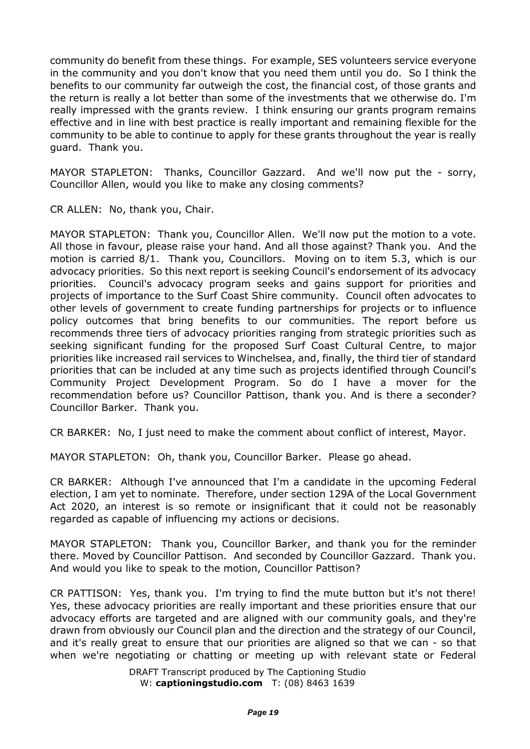community do benefit from these things. For example, SES volunteers service everyone in the community and you don't know that you need them until you do. So I think the benefits to our community far outweigh the cost, the financial cost, of those grants and the return is really a lot better than some of the investments that we otherwise do. I'm really impressed with the grants review. I think ensuring our grants program remains effective and in line with best practice is really important and remaining flexible for the community to be able to continue to apply for these grants throughout the year is really guard. Thank you.

MAYOR STAPLETON: Thanks, Councillor Gazzard. And we'll now put the - sorry, Councillor Allen, would you like to make any closing comments?

CR ALLEN: No, thank you, Chair.

MAYOR STAPLETON: Thank you, Councillor Allen. We'll now put the motion to a vote. All those in favour, please raise your hand. And all those against? Thank you. And the motion is carried 8/1. Thank you, Councillors. Moving on to item 5.3, which is our advocacy priorities. So this next report is seeking Council's endorsement of its advocacy priorities. Council's advocacy program seeks and gains support for priorities and projects of importance to the Surf Coast Shire community. Council often advocates to other levels of government to create funding partnerships for projects or to influence policy outcomes that bring benefits to our communities. The report before us recommends three tiers of advocacy priorities ranging from strategic priorities such as seeking significant funding for the proposed Surf Coast Cultural Centre, to major priorities like increased rail services to Winchelsea, and, finally, the third tier of standard priorities that can be included at any time such as projects identified through Council's Community Project Development Program. So do I have a mover for the recommendation before us? Councillor Pattison, thank you. And is there a seconder? Councillor Barker. Thank you.

CR BARKER: No, I just need to make the comment about conflict of interest, Mayor.

MAYOR STAPLETON: Oh, thank you, Councillor Barker. Please go ahead.

CR BARKER: Although I've announced that I'm a candidate in the upcoming Federal election, I am yet to nominate. Therefore, under section 129A of the Local Government Act 2020, an interest is so remote or insignificant that it could not be reasonably regarded as capable of influencing my actions or decisions.

MAYOR STAPLETON: Thank you, Councillor Barker, and thank you for the reminder there. Moved by Councillor Pattison. And seconded by Councillor Gazzard. Thank you. And would you like to speak to the motion, Councillor Pattison?

CR PATTISON: Yes, thank you. I'm trying to find the mute button but it's not there! Yes, these advocacy priorities are really important and these priorities ensure that our advocacy efforts are targeted and are aligned with our community goals, and they're drawn from obviously our Council plan and the direction and the strategy of our Council, and it's really great to ensure that our priorities are aligned so that we can - so that when we're negotiating or chatting or meeting up with relevant state or Federal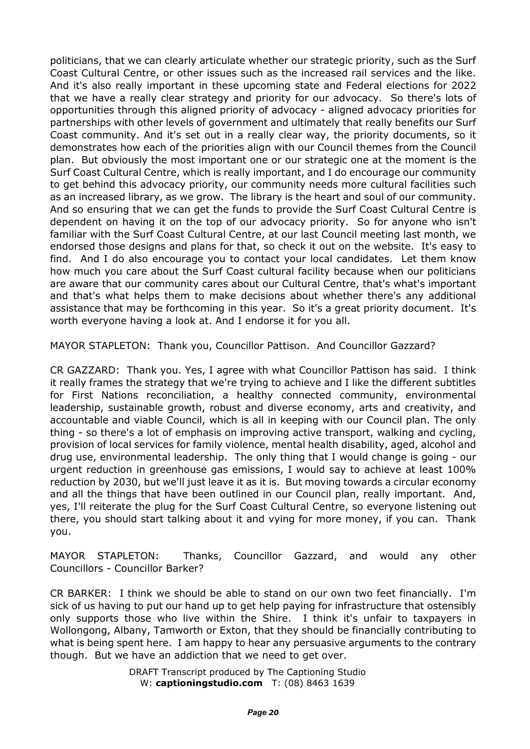politicians, that we can clearly articulate whether our strategic priority, such as the Surf Coast Cultural Centre, or other issues such as the increased rail services and the like. And it's also really important in these upcoming state and Federal elections for 2022 that we have a really clear strategy and priority for our advocacy. So there's lots of opportunities through this aligned priority of advocacy - aligned advocacy priorities for partnerships with other levels of government and ultimately that really benefits our Surf Coast community. And it's set out in a really clear way, the priority documents, so it demonstrates how each of the priorities align with our Council themes from the Council plan. But obviously the most important one or our strategic one at the moment is the Surf Coast Cultural Centre, which is really important, and I do encourage our community to get behind this advocacy priority, our community needs more cultural facilities such as an increased library, as we grow. The library is the heart and soul of our community. And so ensuring that we can get the funds to provide the Surf Coast Cultural Centre is dependent on having it on the top of our advocacy priority. So for anyone who isn't familiar with the Surf Coast Cultural Centre, at our last Council meeting last month, we endorsed those designs and plans for that, so check it out on the website. It's easy to find. And I do also encourage you to contact your local candidates. Let them know how much you care about the Surf Coast cultural facility because when our politicians are aware that our community cares about our Cultural Centre, that's what's important and that's what helps them to make decisions about whether there's any additional assistance that may be forthcoming in this year. So it's a great priority document. It's worth everyone having a look at. And I endorse it for you all.

MAYOR STAPLETON: Thank you, Councillor Pattison. And Councillor Gazzard?

CR GAZZARD: Thank you. Yes, I agree with what Councillor Pattison has said. I think it really frames the strategy that we're trying to achieve and I like the different subtitles for First Nations reconciliation, a healthy connected community, environmental leadership, sustainable growth, robust and diverse economy, arts and creativity, and accountable and viable Council, which is all in keeping with our Council plan. The only thing - so there's a lot of emphasis on improving active transport, walking and cycling, provision of local services for family violence, mental health disability, aged, alcohol and drug use, environmental leadership. The only thing that I would change is going - our urgent reduction in greenhouse gas emissions, I would say to achieve at least 100% reduction by 2030, but we'll just leave it as it is. But moving towards a circular economy and all the things that have been outlined in our Council plan, really important. And, yes, I'll reiterate the plug for the Surf Coast Cultural Centre, so everyone listening out there, you should start talking about it and vying for more money, if you can. Thank you.

MAYOR STAPLETON: Thanks, Councillor Gazzard, and would any other Councillors - Councillor Barker?

CR BARKER: I think we should be able to stand on our own two feet financially. I'm sick of us having to put our hand up to get help paying for infrastructure that ostensibly only supports those who live within the Shire. I think it's unfair to taxpayers in Wollongong, Albany, Tamworth or Exton, that they should be financially contributing to what is being spent here. I am happy to hear any persuasive arguments to the contrary though. But we have an addiction that we need to get over.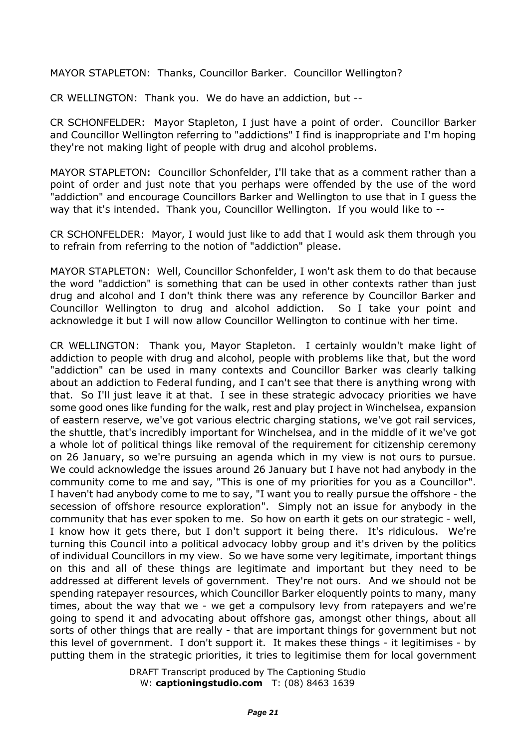MAYOR STAPLETON: Thanks, Councillor Barker. Councillor Wellington?

CR WELLINGTON: Thank you. We do have an addiction, but --

CR SCHONFELDER: Mayor Stapleton, I just have a point of order. Councillor Barker and Councillor Wellington referring to "addictions" I find is inappropriate and I'm hoping they're not making light of people with drug and alcohol problems.

MAYOR STAPLETON: Councillor Schonfelder, I'll take that as a comment rather than a point of order and just note that you perhaps were offended by the use of the word "addiction" and encourage Councillors Barker and Wellington to use that in I guess the way that it's intended. Thank you, Councillor Wellington. If you would like to --

CR SCHONFELDER: Mayor, I would just like to add that I would ask them through you to refrain from referring to the notion of "addiction" please.

MAYOR STAPLETON: Well, Councillor Schonfelder, I won't ask them to do that because the word "addiction" is something that can be used in other contexts rather than just drug and alcohol and I don't think there was any reference by Councillor Barker and Councillor Wellington to drug and alcohol addiction. So I take your point and acknowledge it but I will now allow Councillor Wellington to continue with her time.

CR WELLINGTON: Thank you, Mayor Stapleton. I certainly wouldn't make light of addiction to people with drug and alcohol, people with problems like that, but the word "addiction" can be used in many contexts and Councillor Barker was clearly talking about an addiction to Federal funding, and I can't see that there is anything wrong with that. So I'll just leave it at that. I see in these strategic advocacy priorities we have some good ones like funding for the walk, rest and play project in Winchelsea, expansion of eastern reserve, we've got various electric charging stations, we've got rail services, the shuttle, that's incredibly important for Winchelsea, and in the middle of it we've got a whole lot of political things like removal of the requirement for citizenship ceremony on 26 January, so we're pursuing an agenda which in my view is not ours to pursue. We could acknowledge the issues around 26 January but I have not had anybody in the community come to me and say, "This is one of my priorities for you as a Councillor". I haven't had anybody come to me to say, "I want you to really pursue the offshore - the secession of offshore resource exploration". Simply not an issue for anybody in the community that has ever spoken to me. So how on earth it gets on our strategic - well, I know how it gets there, but I don't support it being there. It's ridiculous. We're turning this Council into a political advocacy lobby group and it's driven by the politics of individual Councillors in my view. So we have some very legitimate, important things on this and all of these things are legitimate and important but they need to be addressed at different levels of government. They're not ours. And we should not be spending ratepayer resources, which Councillor Barker eloquently points to many, many times, about the way that we - we get a compulsory levy from ratepayers and we're going to spend it and advocating about offshore gas, amongst other things, about all sorts of other things that are really - that are important things for government but not this level of government. I don't support it. It makes these things - it legitimises - by putting them in the strategic priorities, it tries to legitimise them for local government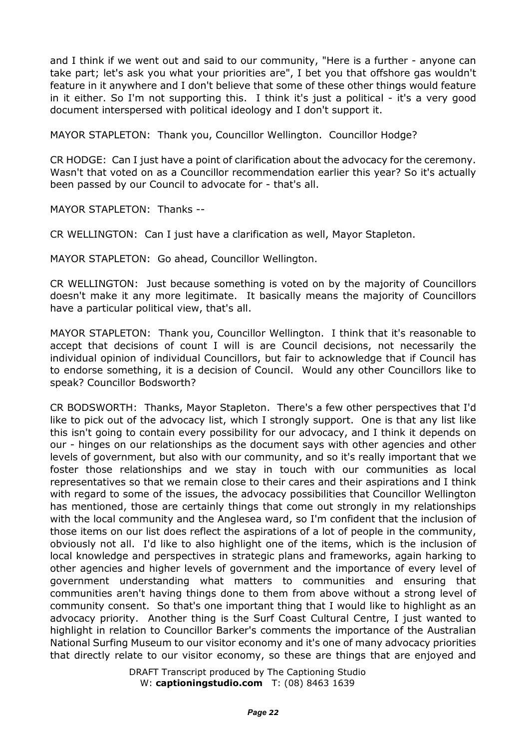and I think if we went out and said to our community, "Here is a further - anyone can take part; let's ask you what your priorities are", I bet you that offshore gas wouldn't feature in it anywhere and I don't believe that some of these other things would feature in it either. So I'm not supporting this. I think it's just a political - it's a very good document interspersed with political ideology and I don't support it.

MAYOR STAPLETON: Thank you, Councillor Wellington. Councillor Hodge?

CR HODGE: Can I just have a point of clarification about the advocacy for the ceremony. Wasn't that voted on as a Councillor recommendation earlier this year? So it's actually been passed by our Council to advocate for - that's all.

MAYOR STAPLETON: Thanks --

CR WELLINGTON: Can I just have a clarification as well, Mayor Stapleton.

MAYOR STAPLETON: Go ahead, Councillor Wellington.

CR WELLINGTON: Just because something is voted on by the majority of Councillors doesn't make it any more legitimate. It basically means the majority of Councillors have a particular political view, that's all.

MAYOR STAPLETON: Thank you, Councillor Wellington. I think that it's reasonable to accept that decisions of count I will is are Council decisions, not necessarily the individual opinion of individual Councillors, but fair to acknowledge that if Council has to endorse something, it is a decision of Council. Would any other Councillors like to speak? Councillor Bodsworth?

CR BODSWORTH: Thanks, Mayor Stapleton. There's a few other perspectives that I'd like to pick out of the advocacy list, which I strongly support. One is that any list like this isn't going to contain every possibility for our advocacy, and I think it depends on our - hinges on our relationships as the document says with other agencies and other levels of government, but also with our community, and so it's really important that we foster those relationships and we stay in touch with our communities as local representatives so that we remain close to their cares and their aspirations and I think with regard to some of the issues, the advocacy possibilities that Councillor Wellington has mentioned, those are certainly things that come out strongly in my relationships with the local community and the Anglesea ward, so I'm confident that the inclusion of those items on our list does reflect the aspirations of a lot of people in the community, obviously not all. I'd like to also highlight one of the items, which is the inclusion of local knowledge and perspectives in strategic plans and frameworks, again harking to other agencies and higher levels of government and the importance of every level of government understanding what matters to communities and ensuring that communities aren't having things done to them from above without a strong level of community consent. So that's one important thing that I would like to highlight as an advocacy priority. Another thing is the Surf Coast Cultural Centre, I just wanted to highlight in relation to Councillor Barker's comments the importance of the Australian National Surfing Museum to our visitor economy and it's one of many advocacy priorities that directly relate to our visitor economy, so these are things that are enjoyed and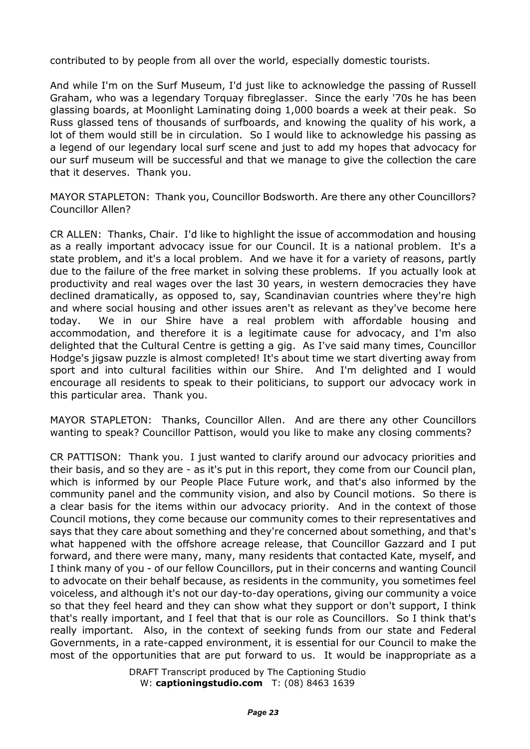contributed to by people from all over the world, especially domestic tourists.

And while I'm on the Surf Museum, I'd just like to acknowledge the passing of Russell Graham, who was a legendary Torquay fibreglasser. Since the early '70s he has been glassing boards, at Moonlight Laminating doing 1,000 boards a week at their peak. So Russ glassed tens of thousands of surfboards, and knowing the quality of his work, a lot of them would still be in circulation. So I would like to acknowledge his passing as a legend of our legendary local surf scene and just to add my hopes that advocacy for our surf museum will be successful and that we manage to give the collection the care that it deserves. Thank you.

MAYOR STAPLETON: Thank you, Councillor Bodsworth. Are there any other Councillors? Councillor Allen?

CR ALLEN: Thanks, Chair. I'd like to highlight the issue of accommodation and housing as a really important advocacy issue for our Council. It is a national problem. It's a state problem, and it's a local problem. And we have it for a variety of reasons, partly due to the failure of the free market in solving these problems. If you actually look at productivity and real wages over the last 30 years, in western democracies they have declined dramatically, as opposed to, say, Scandinavian countries where they're high and where social housing and other issues aren't as relevant as they've become here today. We in our Shire have a real problem with affordable housing and accommodation, and therefore it is a legitimate cause for advocacy, and I'm also delighted that the Cultural Centre is getting a gig. As I've said many times, Councillor Hodge's jigsaw puzzle is almost completed! It's about time we start diverting away from sport and into cultural facilities within our Shire. And I'm delighted and I would encourage all residents to speak to their politicians, to support our advocacy work in this particular area. Thank you.

MAYOR STAPLETON: Thanks, Councillor Allen. And are there any other Councillors wanting to speak? Councillor Pattison, would you like to make any closing comments?

CR PATTISON: Thank you. I just wanted to clarify around our advocacy priorities and their basis, and so they are - as it's put in this report, they come from our Council plan, which is informed by our People Place Future work, and that's also informed by the community panel and the community vision, and also by Council motions. So there is a clear basis for the items within our advocacy priority. And in the context of those Council motions, they come because our community comes to their representatives and says that they care about something and they're concerned about something, and that's what happened with the offshore acreage release, that Councillor Gazzard and I put forward, and there were many, many, many residents that contacted Kate, myself, and I think many of you - of our fellow Councillors, put in their concerns and wanting Council to advocate on their behalf because, as residents in the community, you sometimes feel voiceless, and although it's not our day-to-day operations, giving our community a voice so that they feel heard and they can show what they support or don't support, I think that's really important, and I feel that that is our role as Councillors. So I think that's really important. Also, in the context of seeking funds from our state and Federal Governments, in a rate-capped environment, it is essential for our Council to make the most of the opportunities that are put forward to us. It would be inappropriate as a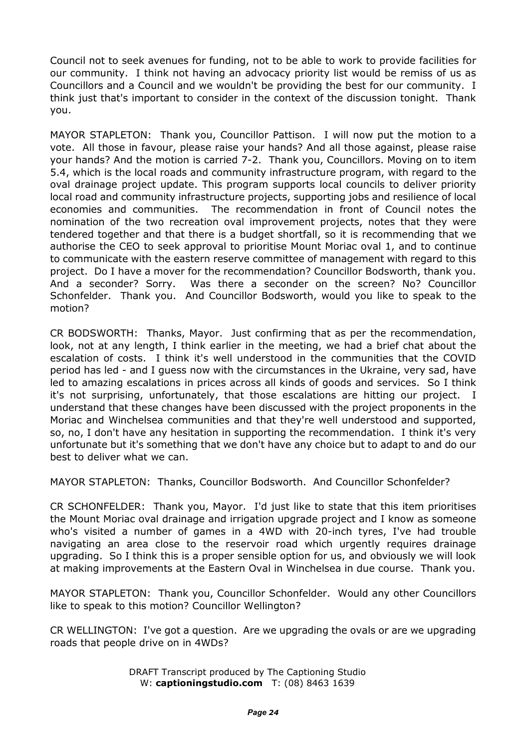Council not to seek avenues for funding, not to be able to work to provide facilities for our community. I think not having an advocacy priority list would be remiss of us as Councillors and a Council and we wouldn't be providing the best for our community. I think just that's important to consider in the context of the discussion tonight. Thank you.

MAYOR STAPLETON: Thank you, Councillor Pattison. I will now put the motion to a vote. All those in favour, please raise your hands? And all those against, please raise your hands? And the motion is carried 7-2. Thank you, Councillors. Moving on to item 5.4, which is the local roads and community infrastructure program, with regard to the oval drainage project update. This program supports local councils to deliver priority local road and community infrastructure projects, supporting jobs and resilience of local economies and communities. The recommendation in front of Council notes the nomination of the two recreation oval improvement projects, notes that they were tendered together and that there is a budget shortfall, so it is recommending that we authorise the CEO to seek approval to prioritise Mount Moriac oval 1, and to continue to communicate with the eastern reserve committee of management with regard to this project. Do I have a mover for the recommendation? Councillor Bodsworth, thank you. And a seconder? Sorry. Was there a seconder on the screen? No? Councillor Schonfelder. Thank you. And Councillor Bodsworth, would you like to speak to the motion?

CR BODSWORTH: Thanks, Mayor. Just confirming that as per the recommendation, look, not at any length, I think earlier in the meeting, we had a brief chat about the escalation of costs. I think it's well understood in the communities that the COVID period has led - and I guess now with the circumstances in the Ukraine, very sad, have led to amazing escalations in prices across all kinds of goods and services. So I think it's not surprising, unfortunately, that those escalations are hitting our project. I understand that these changes have been discussed with the project proponents in the Moriac and Winchelsea communities and that they're well understood and supported, so, no, I don't have any hesitation in supporting the recommendation. I think it's very unfortunate but it's something that we don't have any choice but to adapt to and do our best to deliver what we can.

MAYOR STAPLETON: Thanks, Councillor Bodsworth. And Councillor Schonfelder?

CR SCHONFELDER: Thank you, Mayor. I'd just like to state that this item prioritises the Mount Moriac oval drainage and irrigation upgrade project and I know as someone who's visited a number of games in a 4WD with 20-inch tyres, I've had trouble navigating an area close to the reservoir road which urgently requires drainage upgrading. So I think this is a proper sensible option for us, and obviously we will look at making improvements at the Eastern Oval in Winchelsea in due course. Thank you.

MAYOR STAPLETON: Thank you, Councillor Schonfelder. Would any other Councillors like to speak to this motion? Councillor Wellington?

CR WELLINGTON: I've got a question. Are we upgrading the ovals or are we upgrading roads that people drive on in 4WDs?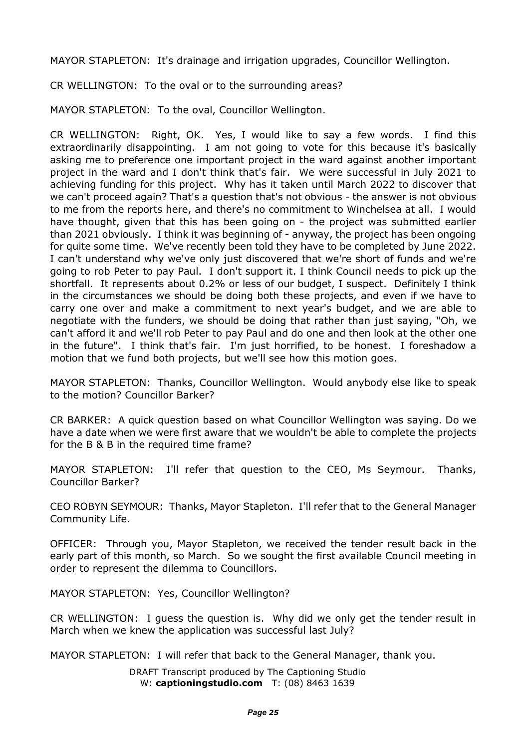MAYOR STAPLETON: It's drainage and irrigation upgrades, Councillor Wellington.

CR WELLINGTON: To the oval or to the surrounding areas?

MAYOR STAPLETON: To the oval, Councillor Wellington.

CR WELLINGTON: Right, OK. Yes, I would like to say a few words. I find this extraordinarily disappointing. I am not going to vote for this because it's basically asking me to preference one important project in the ward against another important project in the ward and I don't think that's fair. We were successful in July 2021 to achieving funding for this project. Why has it taken until March 2022 to discover that we can't proceed again? That's a question that's not obvious - the answer is not obvious to me from the reports here, and there's no commitment to Winchelsea at all. I would have thought, given that this has been going on - the project was submitted earlier than 2021 obviously. I think it was beginning of - anyway, the project has been ongoing for quite some time. We've recently been told they have to be completed by June 2022. I can't understand why we've only just discovered that we're short of funds and we're going to rob Peter to pay Paul. I don't support it. I think Council needs to pick up the shortfall. It represents about 0.2% or less of our budget, I suspect. Definitely I think in the circumstances we should be doing both these projects, and even if we have to carry one over and make a commitment to next year's budget, and we are able to negotiate with the funders, we should be doing that rather than just saying, "Oh, we can't afford it and we'll rob Peter to pay Paul and do one and then look at the other one in the future". I think that's fair. I'm just horrified, to be honest. I foreshadow a motion that we fund both projects, but we'll see how this motion goes.

MAYOR STAPLETON: Thanks, Councillor Wellington. Would anybody else like to speak to the motion? Councillor Barker?

CR BARKER: A quick question based on what Councillor Wellington was saying. Do we have a date when we were first aware that we wouldn't be able to complete the projects for the B & B in the required time frame?

MAYOR STAPLETON: I'll refer that question to the CEO, Ms Seymour. Thanks, Councillor Barker?

CEO ROBYN SEYMOUR: Thanks, Mayor Stapleton. I'll refer that to the General Manager Community Life.

OFFICER: Through you, Mayor Stapleton, we received the tender result back in the early part of this month, so March. So we sought the first available Council meeting in order to represent the dilemma to Councillors.

MAYOR STAPLETON: Yes, Councillor Wellington?

CR WELLINGTON: I guess the question is. Why did we only get the tender result in March when we knew the application was successful last July?

MAYOR STAPLETON: I will refer that back to the General Manager, thank you.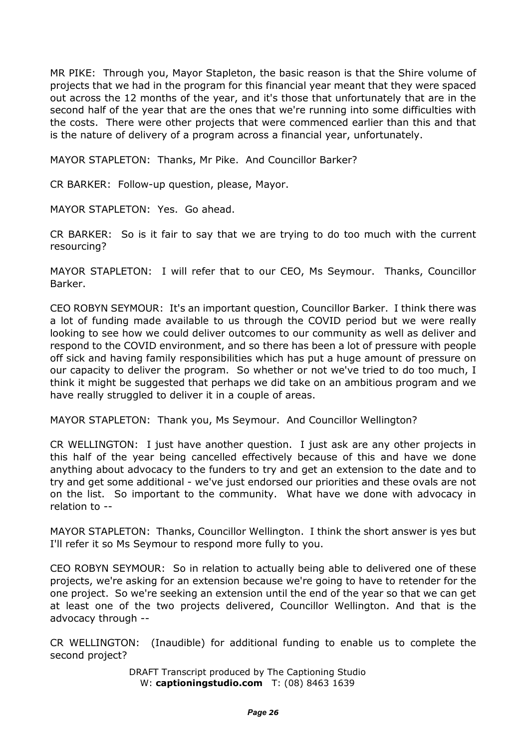MR PIKE: Through you, Mayor Stapleton, the basic reason is that the Shire volume of projects that we had in the program for this financial year meant that they were spaced out across the 12 months of the year, and it's those that unfortunately that are in the second half of the year that are the ones that we're running into some difficulties with the costs. There were other projects that were commenced earlier than this and that is the nature of delivery of a program across a financial year, unfortunately.

MAYOR STAPLETON: Thanks, Mr Pike. And Councillor Barker?

CR BARKER: Follow-up question, please, Mayor.

MAYOR STAPLETON: Yes. Go ahead.

CR BARKER: So is it fair to say that we are trying to do too much with the current resourcing?

MAYOR STAPLETON: I will refer that to our CEO, Ms Seymour. Thanks, Councillor Barker.

CEO ROBYN SEYMOUR: It's an important question, Councillor Barker. I think there was a lot of funding made available to us through the COVID period but we were really looking to see how we could deliver outcomes to our community as well as deliver and respond to the COVID environment, and so there has been a lot of pressure with people off sick and having family responsibilities which has put a huge amount of pressure on our capacity to deliver the program. So whether or not we've tried to do too much, I think it might be suggested that perhaps we did take on an ambitious program and we have really struggled to deliver it in a couple of areas.

MAYOR STAPLETON: Thank you, Ms Seymour. And Councillor Wellington?

CR WELLINGTON: I just have another question. I just ask are any other projects in this half of the year being cancelled effectively because of this and have we done anything about advocacy to the funders to try and get an extension to the date and to try and get some additional - we've just endorsed our priorities and these ovals are not on the list. So important to the community. What have we done with advocacy in relation to --

MAYOR STAPLETON: Thanks, Councillor Wellington. I think the short answer is yes but I'll refer it so Ms Seymour to respond more fully to you.

CEO ROBYN SEYMOUR: So in relation to actually being able to delivered one of these projects, we're asking for an extension because we're going to have to retender for the one project. So we're seeking an extension until the end of the year so that we can get at least one of the two projects delivered, Councillor Wellington. And that is the advocacy through --

CR WELLINGTON: (Inaudible) for additional funding to enable us to complete the second project?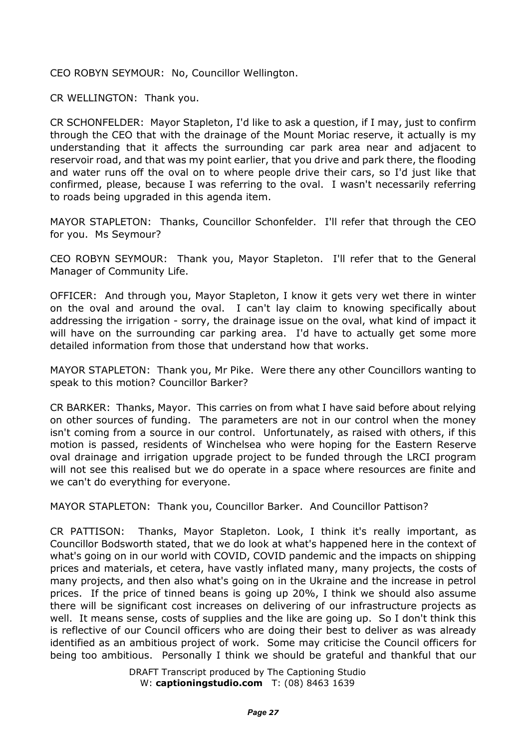CEO ROBYN SEYMOUR: No, Councillor Wellington.

CR WELLINGTON: Thank you.

CR SCHONFELDER: Mayor Stapleton, I'd like to ask a question, if I may, just to confirm through the CEO that with the drainage of the Mount Moriac reserve, it actually is my understanding that it affects the surrounding car park area near and adjacent to reservoir road, and that was my point earlier, that you drive and park there, the flooding and water runs off the oval on to where people drive their cars, so I'd just like that confirmed, please, because I was referring to the oval. I wasn't necessarily referring to roads being upgraded in this agenda item.

MAYOR STAPLETON: Thanks, Councillor Schonfelder. I'll refer that through the CEO for you. Ms Seymour?

CEO ROBYN SEYMOUR: Thank you, Mayor Stapleton. I'll refer that to the General Manager of Community Life.

OFFICER: And through you, Mayor Stapleton, I know it gets very wet there in winter on the oval and around the oval. I can't lay claim to knowing specifically about addressing the irrigation - sorry, the drainage issue on the oval, what kind of impact it will have on the surrounding car parking area. I'd have to actually get some more detailed information from those that understand how that works.

MAYOR STAPLETON: Thank you, Mr Pike. Were there any other Councillors wanting to speak to this motion? Councillor Barker?

CR BARKER: Thanks, Mayor. This carries on from what I have said before about relying on other sources of funding. The parameters are not in our control when the money isn't coming from a source in our control. Unfortunately, as raised with others, if this motion is passed, residents of Winchelsea who were hoping for the Eastern Reserve oval drainage and irrigation upgrade project to be funded through the LRCI program will not see this realised but we do operate in a space where resources are finite and we can't do everything for everyone.

MAYOR STAPLETON: Thank you, Councillor Barker. And Councillor Pattison?

CR PATTISON: Thanks, Mayor Stapleton. Look, I think it's really important, as Councillor Bodsworth stated, that we do look at what's happened here in the context of what's going on in our world with COVID, COVID pandemic and the impacts on shipping prices and materials, et cetera, have vastly inflated many, many projects, the costs of many projects, and then also what's going on in the Ukraine and the increase in petrol prices. If the price of tinned beans is going up 20%, I think we should also assume there will be significant cost increases on delivering of our infrastructure projects as well. It means sense, costs of supplies and the like are going up. So I don't think this is reflective of our Council officers who are doing their best to deliver as was already identified as an ambitious project of work. Some may criticise the Council officers for being too ambitious. Personally I think we should be grateful and thankful that our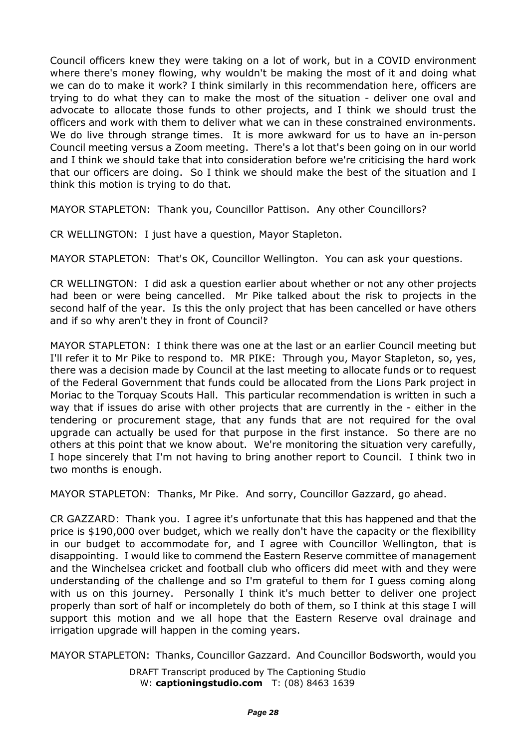Council officers knew they were taking on a lot of work, but in a COVID environment where there's money flowing, why wouldn't be making the most of it and doing what we can do to make it work? I think similarly in this recommendation here, officers are trying to do what they can to make the most of the situation - deliver one oval and advocate to allocate those funds to other projects, and I think we should trust the officers and work with them to deliver what we can in these constrained environments. We do live through strange times. It is more awkward for us to have an in-person Council meeting versus a Zoom meeting. There's a lot that's been going on in our world and I think we should take that into consideration before we're criticising the hard work that our officers are doing. So I think we should make the best of the situation and I think this motion is trying to do that.

MAYOR STAPLETON: Thank you, Councillor Pattison. Any other Councillors?

CR WELLINGTON: I just have a question, Mayor Stapleton.

MAYOR STAPLETON: That's OK, Councillor Wellington. You can ask your questions.

CR WELLINGTON: I did ask a question earlier about whether or not any other projects had been or were being cancelled. Mr Pike talked about the risk to projects in the second half of the year. Is this the only project that has been cancelled or have others and if so why aren't they in front of Council?

MAYOR STAPLETON: I think there was one at the last or an earlier Council meeting but I'll refer it to Mr Pike to respond to. MR PIKE: Through you, Mayor Stapleton, so, yes, there was a decision made by Council at the last meeting to allocate funds or to request of the Federal Government that funds could be allocated from the Lions Park project in Moriac to the Torquay Scouts Hall. This particular recommendation is written in such a way that if issues do arise with other projects that are currently in the - either in the tendering or procurement stage, that any funds that are not required for the oval upgrade can actually be used for that purpose in the first instance. So there are no others at this point that we know about. We're monitoring the situation very carefully, I hope sincerely that I'm not having to bring another report to Council. I think two in two months is enough.

MAYOR STAPLETON: Thanks, Mr Pike. And sorry, Councillor Gazzard, go ahead.

CR GAZZARD: Thank you. I agree it's unfortunate that this has happened and that the price is \$190,000 over budget, which we really don't have the capacity or the flexibility in our budget to accommodate for, and I agree with Councillor Wellington, that is disappointing. I would like to commend the Eastern Reserve committee of management and the Winchelsea cricket and football club who officers did meet with and they were understanding of the challenge and so I'm grateful to them for I guess coming along with us on this journey. Personally I think it's much better to deliver one project properly than sort of half or incompletely do both of them, so I think at this stage I will support this motion and we all hope that the Eastern Reserve oval drainage and irrigation upgrade will happen in the coming years.

MAYOR STAPLETON: Thanks, Councillor Gazzard. And Councillor Bodsworth, would you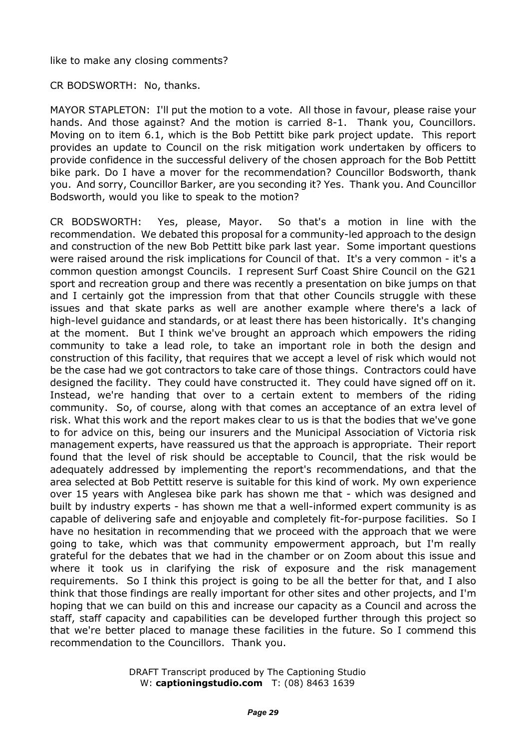like to make any closing comments?

CR BODSWORTH: No, thanks.

MAYOR STAPLETON: I'll put the motion to a vote. All those in favour, please raise your hands. And those against? And the motion is carried 8-1. Thank you, Councillors. Moving on to item 6.1, which is the Bob Pettitt bike park project update. This report provides an update to Council on the risk mitigation work undertaken by officers to provide confidence in the successful delivery of the chosen approach for the Bob Pettitt bike park. Do I have a mover for the recommendation? Councillor Bodsworth, thank you. And sorry, Councillor Barker, are you seconding it? Yes. Thank you. And Councillor Bodsworth, would you like to speak to the motion?

CR BODSWORTH: Yes, please, Mayor. So that's a motion in line with the recommendation. We debated this proposal for a community-led approach to the design and construction of the new Bob Pettitt bike park last year. Some important questions were raised around the risk implications for Council of that. It's a very common - it's a common question amongst Councils. I represent Surf Coast Shire Council on the G21 sport and recreation group and there was recently a presentation on bike jumps on that and I certainly got the impression from that that other Councils struggle with these issues and that skate parks as well are another example where there's a lack of high-level guidance and standards, or at least there has been historically. It's changing at the moment. But I think we've brought an approach which empowers the riding community to take a lead role, to take an important role in both the design and construction of this facility, that requires that we accept a level of risk which would not be the case had we got contractors to take care of those things. Contractors could have designed the facility. They could have constructed it. They could have signed off on it. Instead, we're handing that over to a certain extent to members of the riding community. So, of course, along with that comes an acceptance of an extra level of risk. What this work and the report makes clear to us is that the bodies that we've gone to for advice on this, being our insurers and the Municipal Association of Victoria risk management experts, have reassured us that the approach is appropriate. Their report found that the level of risk should be acceptable to Council, that the risk would be adequately addressed by implementing the report's recommendations, and that the area selected at Bob Pettitt reserve is suitable for this kind of work. My own experience over 15 years with Anglesea bike park has shown me that - which was designed and built by industry experts - has shown me that a well-informed expert community is as capable of delivering safe and enjoyable and completely fit-for-purpose facilities. So I have no hesitation in recommending that we proceed with the approach that we were going to take, which was that community empowerment approach, but I'm really grateful for the debates that we had in the chamber or on Zoom about this issue and where it took us in clarifying the risk of exposure and the risk management requirements. So I think this project is going to be all the better for that, and I also think that those findings are really important for other sites and other projects, and I'm hoping that we can build on this and increase our capacity as a Council and across the staff, staff capacity and capabilities can be developed further through this project so that we're better placed to manage these facilities in the future. So I commend this recommendation to the Councillors. Thank you.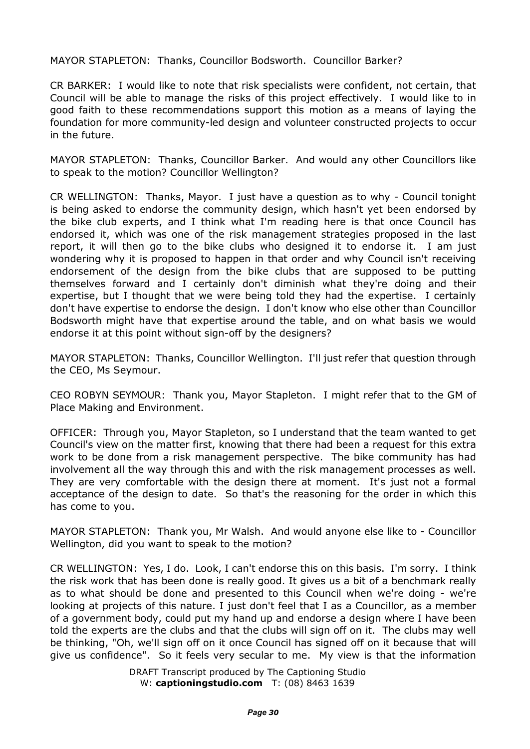MAYOR STAPLETON: Thanks, Councillor Bodsworth. Councillor Barker?

CR BARKER: I would like to note that risk specialists were confident, not certain, that Council will be able to manage the risks of this project effectively. I would like to in good faith to these recommendations support this motion as a means of laying the foundation for more community-led design and volunteer constructed projects to occur in the future.

MAYOR STAPLETON: Thanks, Councillor Barker. And would any other Councillors like to speak to the motion? Councillor Wellington?

CR WELLINGTON: Thanks, Mayor. I just have a question as to why - Council tonight is being asked to endorse the community design, which hasn't yet been endorsed by the bike club experts, and I think what I'm reading here is that once Council has endorsed it, which was one of the risk management strategies proposed in the last report, it will then go to the bike clubs who designed it to endorse it. I am just wondering why it is proposed to happen in that order and why Council isn't receiving endorsement of the design from the bike clubs that are supposed to be putting themselves forward and I certainly don't diminish what they're doing and their expertise, but I thought that we were being told they had the expertise. I certainly don't have expertise to endorse the design. I don't know who else other than Councillor Bodsworth might have that expertise around the table, and on what basis we would endorse it at this point without sign-off by the designers?

MAYOR STAPLETON: Thanks, Councillor Wellington. I'll just refer that question through the CEO, Ms Seymour.

CEO ROBYN SEYMOUR: Thank you, Mayor Stapleton. I might refer that to the GM of Place Making and Environment.

OFFICER: Through you, Mayor Stapleton, so I understand that the team wanted to get Council's view on the matter first, knowing that there had been a request for this extra work to be done from a risk management perspective. The bike community has had involvement all the way through this and with the risk management processes as well. They are very comfortable with the design there at moment. It's just not a formal acceptance of the design to date. So that's the reasoning for the order in which this has come to you.

MAYOR STAPLETON: Thank you, Mr Walsh. And would anyone else like to - Councillor Wellington, did you want to speak to the motion?

CR WELLINGTON: Yes, I do. Look, I can't endorse this on this basis. I'm sorry. I think the risk work that has been done is really good. It gives us a bit of a benchmark really as to what should be done and presented to this Council when we're doing - we're looking at projects of this nature. I just don't feel that I as a Councillor, as a member of a government body, could put my hand up and endorse a design where I have been told the experts are the clubs and that the clubs will sign off on it. The clubs may well be thinking, "Oh, we'll sign off on it once Council has signed off on it because that will give us confidence". So it feels very secular to me. My view is that the information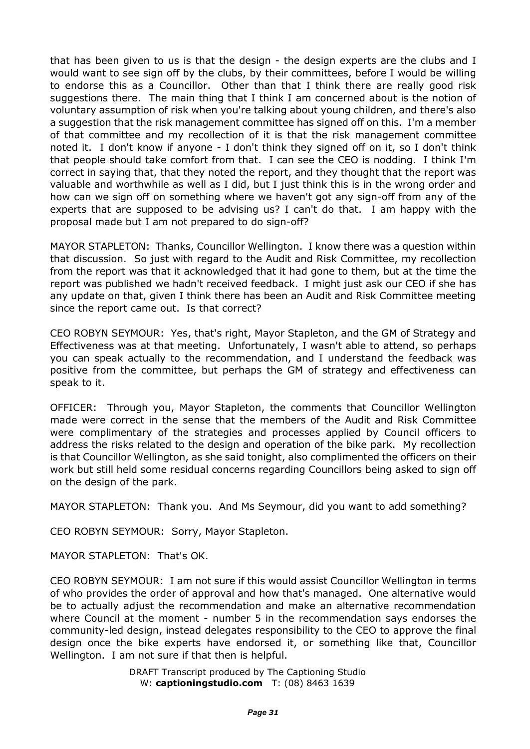that has been given to us is that the design - the design experts are the clubs and I would want to see sign off by the clubs, by their committees, before I would be willing to endorse this as a Councillor. Other than that I think there are really good risk suggestions there. The main thing that I think I am concerned about is the notion of voluntary assumption of risk when you're talking about young children, and there's also a suggestion that the risk management committee has signed off on this. I'm a member of that committee and my recollection of it is that the risk management committee noted it. I don't know if anyone - I don't think they signed off on it, so I don't think that people should take comfort from that. I can see the CEO is nodding. I think I'm correct in saying that, that they noted the report, and they thought that the report was valuable and worthwhile as well as I did, but I just think this is in the wrong order and how can we sign off on something where we haven't got any sign-off from any of the experts that are supposed to be advising us? I can't do that. I am happy with the proposal made but I am not prepared to do sign-off?

MAYOR STAPLETON: Thanks, Councillor Wellington. I know there was a question within that discussion. So just with regard to the Audit and Risk Committee, my recollection from the report was that it acknowledged that it had gone to them, but at the time the report was published we hadn't received feedback. I might just ask our CEO if she has any update on that, given I think there has been an Audit and Risk Committee meeting since the report came out. Is that correct?

CEO ROBYN SEYMOUR: Yes, that's right, Mayor Stapleton, and the GM of Strategy and Effectiveness was at that meeting. Unfortunately, I wasn't able to attend, so perhaps you can speak actually to the recommendation, and I understand the feedback was positive from the committee, but perhaps the GM of strategy and effectiveness can speak to it.

OFFICER: Through you, Mayor Stapleton, the comments that Councillor Wellington made were correct in the sense that the members of the Audit and Risk Committee were complimentary of the strategies and processes applied by Council officers to address the risks related to the design and operation of the bike park. My recollection is that Councillor Wellington, as she said tonight, also complimented the officers on their work but still held some residual concerns regarding Councillors being asked to sign off on the design of the park.

MAYOR STAPLETON: Thank you. And Ms Seymour, did you want to add something?

CEO ROBYN SEYMOUR: Sorry, Mayor Stapleton.

MAYOR STAPLETON: That's OK.

CEO ROBYN SEYMOUR: I am not sure if this would assist Councillor Wellington in terms of who provides the order of approval and how that's managed. One alternative would be to actually adjust the recommendation and make an alternative recommendation where Council at the moment - number 5 in the recommendation says endorses the community-led design, instead delegates responsibility to the CEO to approve the final design once the bike experts have endorsed it, or something like that, Councillor Wellington. I am not sure if that then is helpful.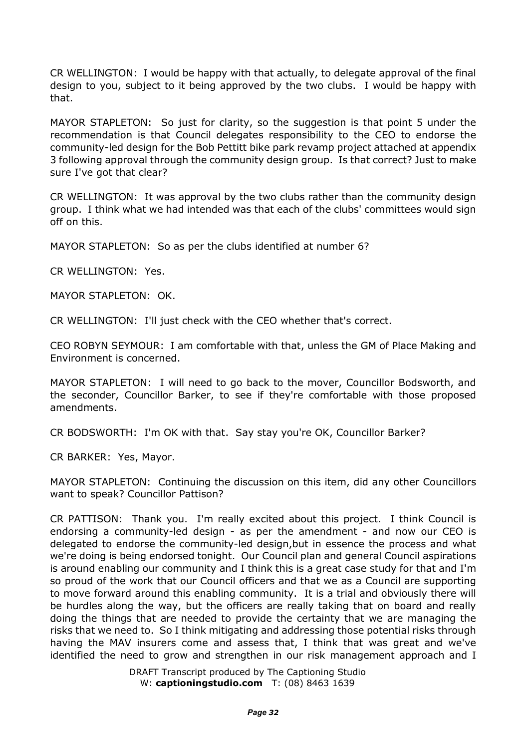CR WELLINGTON: I would be happy with that actually, to delegate approval of the final design to you, subject to it being approved by the two clubs. I would be happy with that.

MAYOR STAPLETON: So just for clarity, so the suggestion is that point 5 under the recommendation is that Council delegates responsibility to the CEO to endorse the community-led design for the Bob Pettitt bike park revamp project attached at appendix 3 following approval through the community design group. Is that correct? Just to make sure I've got that clear?

CR WELLINGTON: It was approval by the two clubs rather than the community design group. I think what we had intended was that each of the clubs' committees would sign off on this.

MAYOR STAPLETON: So as per the clubs identified at number 6?

CR WELLINGTON: Yes.

MAYOR STAPLETON: OK.

CR WELLINGTON: I'll just check with the CEO whether that's correct.

CEO ROBYN SEYMOUR: I am comfortable with that, unless the GM of Place Making and Environment is concerned.

MAYOR STAPLETON: I will need to go back to the mover, Councillor Bodsworth, and the seconder, Councillor Barker, to see if they're comfortable with those proposed amendments.

CR BODSWORTH: I'm OK with that. Say stay you're OK, Councillor Barker?

CR BARKER: Yes, Mayor.

MAYOR STAPLETON: Continuing the discussion on this item, did any other Councillors want to speak? Councillor Pattison?

CR PATTISON: Thank you. I'm really excited about this project. I think Council is endorsing a community-led design - as per the amendment - and now our CEO is delegated to endorse the community-led design,but in essence the process and what we're doing is being endorsed tonight. Our Council plan and general Council aspirations is around enabling our community and I think this is a great case study for that and I'm so proud of the work that our Council officers and that we as a Council are supporting to move forward around this enabling community. It is a trial and obviously there will be hurdles along the way, but the officers are really taking that on board and really doing the things that are needed to provide the certainty that we are managing the risks that we need to. So I think mitigating and addressing those potential risks through having the MAV insurers come and assess that, I think that was great and we've identified the need to grow and strengthen in our risk management approach and I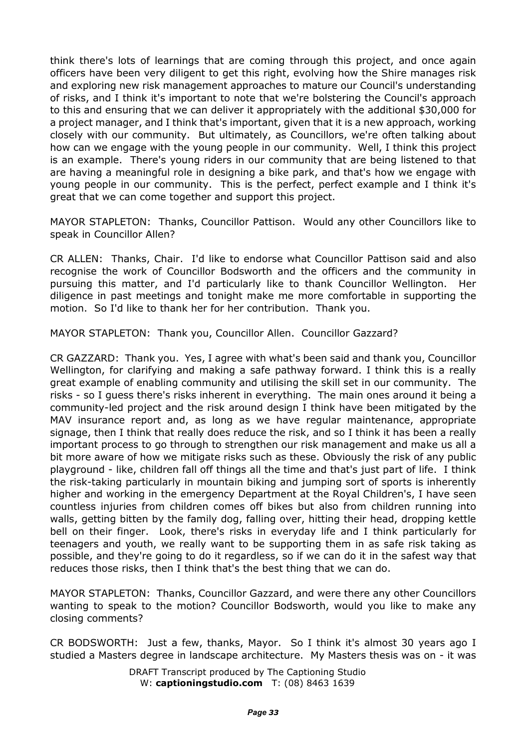think there's lots of learnings that are coming through this project, and once again officers have been very diligent to get this right, evolving how the Shire manages risk and exploring new risk management approaches to mature our Council's understanding of risks, and I think it's important to note that we're bolstering the Council's approach to this and ensuring that we can deliver it appropriately with the additional \$30,000 for a project manager, and I think that's important, given that it is a new approach, working closely with our community. But ultimately, as Councillors, we're often talking about how can we engage with the young people in our community. Well, I think this project is an example. There's young riders in our community that are being listened to that are having a meaningful role in designing a bike park, and that's how we engage with young people in our community. This is the perfect, perfect example and I think it's great that we can come together and support this project.

MAYOR STAPLETON: Thanks, Councillor Pattison. Would any other Councillors like to speak in Councillor Allen?

CR ALLEN: Thanks, Chair. I'd like to endorse what Councillor Pattison said and also recognise the work of Councillor Bodsworth and the officers and the community in pursuing this matter, and I'd particularly like to thank Councillor Wellington. Her diligence in past meetings and tonight make me more comfortable in supporting the motion. So I'd like to thank her for her contribution. Thank you.

MAYOR STAPLETON: Thank you, Councillor Allen. Councillor Gazzard?

CR GAZZARD: Thank you. Yes, I agree with what's been said and thank you, Councillor Wellington, for clarifying and making a safe pathway forward. I think this is a really great example of enabling community and utilising the skill set in our community. The risks - so I guess there's risks inherent in everything. The main ones around it being a community-led project and the risk around design I think have been mitigated by the MAV insurance report and, as long as we have regular maintenance, appropriate signage, then I think that really does reduce the risk, and so I think it has been a really important process to go through to strengthen our risk management and make us all a bit more aware of how we mitigate risks such as these. Obviously the risk of any public playground - like, children fall off things all the time and that's just part of life. I think the risk-taking particularly in mountain biking and jumping sort of sports is inherently higher and working in the emergency Department at the Royal Children's, I have seen countless injuries from children comes off bikes but also from children running into walls, getting bitten by the family dog, falling over, hitting their head, dropping kettle bell on their finger. Look, there's risks in everyday life and I think particularly for teenagers and youth, we really want to be supporting them in as safe risk taking as possible, and they're going to do it regardless, so if we can do it in the safest way that reduces those risks, then I think that's the best thing that we can do.

MAYOR STAPLETON: Thanks, Councillor Gazzard, and were there any other Councillors wanting to speak to the motion? Councillor Bodsworth, would you like to make any closing comments?

CR BODSWORTH: Just a few, thanks, Mayor. So I think it's almost 30 years ago I studied a Masters degree in landscape architecture. My Masters thesis was on - it was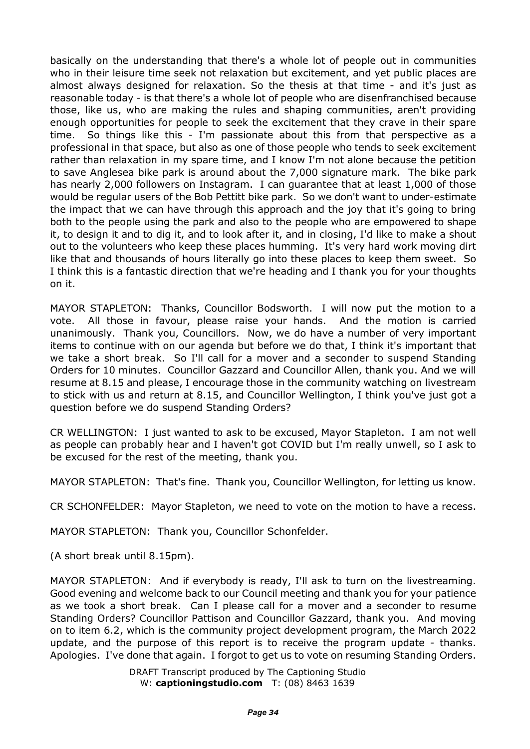basically on the understanding that there's a whole lot of people out in communities who in their leisure time seek not relaxation but excitement, and yet public places are almost always designed for relaxation. So the thesis at that time - and it's just as reasonable today - is that there's a whole lot of people who are disenfranchised because those, like us, who are making the rules and shaping communities, aren't providing enough opportunities for people to seek the excitement that they crave in their spare time. So things like this - I'm passionate about this from that perspective as a professional in that space, but also as one of those people who tends to seek excitement rather than relaxation in my spare time, and I know I'm not alone because the petition to save Anglesea bike park is around about the 7,000 signature mark. The bike park has nearly 2,000 followers on Instagram. I can guarantee that at least 1,000 of those would be regular users of the Bob Pettitt bike park. So we don't want to under-estimate the impact that we can have through this approach and the joy that it's going to bring both to the people using the park and also to the people who are empowered to shape it, to design it and to dig it, and to look after it, and in closing, I'd like to make a shout out to the volunteers who keep these places humming. It's very hard work moving dirt like that and thousands of hours literally go into these places to keep them sweet. So I think this is a fantastic direction that we're heading and I thank you for your thoughts on it.

MAYOR STAPLETON: Thanks, Councillor Bodsworth. I will now put the motion to a vote. All those in favour, please raise your hands. And the motion is carried unanimously. Thank you, Councillors. Now, we do have a number of very important items to continue with on our agenda but before we do that, I think it's important that we take a short break. So I'll call for a mover and a seconder to suspend Standing Orders for 10 minutes. Councillor Gazzard and Councillor Allen, thank you. And we will resume at 8.15 and please, I encourage those in the community watching on livestream to stick with us and return at 8.15, and Councillor Wellington, I think you've just got a question before we do suspend Standing Orders?

CR WELLINGTON: I just wanted to ask to be excused, Mayor Stapleton. I am not well as people can probably hear and I haven't got COVID but I'm really unwell, so I ask to be excused for the rest of the meeting, thank you.

MAYOR STAPLETON: That's fine. Thank you, Councillor Wellington, for letting us know.

CR SCHONFELDER: Mayor Stapleton, we need to vote on the motion to have a recess.

MAYOR STAPLETON: Thank you, Councillor Schonfelder.

(A short break until 8.15pm).

MAYOR STAPLETON: And if everybody is ready, I'll ask to turn on the livestreaming. Good evening and welcome back to our Council meeting and thank you for your patience as we took a short break. Can I please call for a mover and a seconder to resume Standing Orders? Councillor Pattison and Councillor Gazzard, thank you. And moving on to item 6.2, which is the community project development program, the March 2022 update, and the purpose of this report is to receive the program update - thanks. Apologies. I've done that again. I forgot to get us to vote on resuming Standing Orders.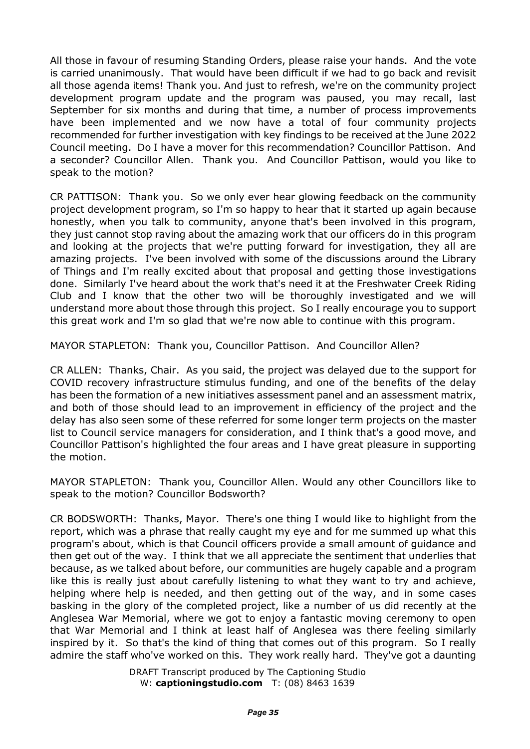All those in favour of resuming Standing Orders, please raise your hands. And the vote is carried unanimously. That would have been difficult if we had to go back and revisit all those agenda items! Thank you. And just to refresh, we're on the community project development program update and the program was paused, you may recall, last September for six months and during that time, a number of process improvements have been implemented and we now have a total of four community projects recommended for further investigation with key findings to be received at the June 2022 Council meeting. Do I have a mover for this recommendation? Councillor Pattison. And a seconder? Councillor Allen. Thank you. And Councillor Pattison, would you like to speak to the motion?

CR PATTISON: Thank you. So we only ever hear glowing feedback on the community project development program, so I'm so happy to hear that it started up again because honestly, when you talk to community, anyone that's been involved in this program, they just cannot stop raving about the amazing work that our officers do in this program and looking at the projects that we're putting forward for investigation, they all are amazing projects. I've been involved with some of the discussions around the Library of Things and I'm really excited about that proposal and getting those investigations done. Similarly I've heard about the work that's need it at the Freshwater Creek Riding Club and I know that the other two will be thoroughly investigated and we will understand more about those through this project. So I really encourage you to support this great work and I'm so glad that we're now able to continue with this program.

MAYOR STAPLETON: Thank you, Councillor Pattison. And Councillor Allen?

CR ALLEN: Thanks, Chair. As you said, the project was delayed due to the support for COVID recovery infrastructure stimulus funding, and one of the benefits of the delay has been the formation of a new initiatives assessment panel and an assessment matrix, and both of those should lead to an improvement in efficiency of the project and the delay has also seen some of these referred for some longer term projects on the master list to Council service managers for consideration, and I think that's a good move, and Councillor Pattison's highlighted the four areas and I have great pleasure in supporting the motion.

MAYOR STAPLETON: Thank you, Councillor Allen. Would any other Councillors like to speak to the motion? Councillor Bodsworth?

CR BODSWORTH: Thanks, Mayor. There's one thing I would like to highlight from the report, which was a phrase that really caught my eye and for me summed up what this program's about, which is that Council officers provide a small amount of guidance and then get out of the way. I think that we all appreciate the sentiment that underlies that because, as we talked about before, our communities are hugely capable and a program like this is really just about carefully listening to what they want to try and achieve, helping where help is needed, and then getting out of the way, and in some cases basking in the glory of the completed project, like a number of us did recently at the Anglesea War Memorial, where we got to enjoy a fantastic moving ceremony to open that War Memorial and I think at least half of Anglesea was there feeling similarly inspired by it. So that's the kind of thing that comes out of this program. So I really admire the staff who've worked on this. They work really hard. They've got a daunting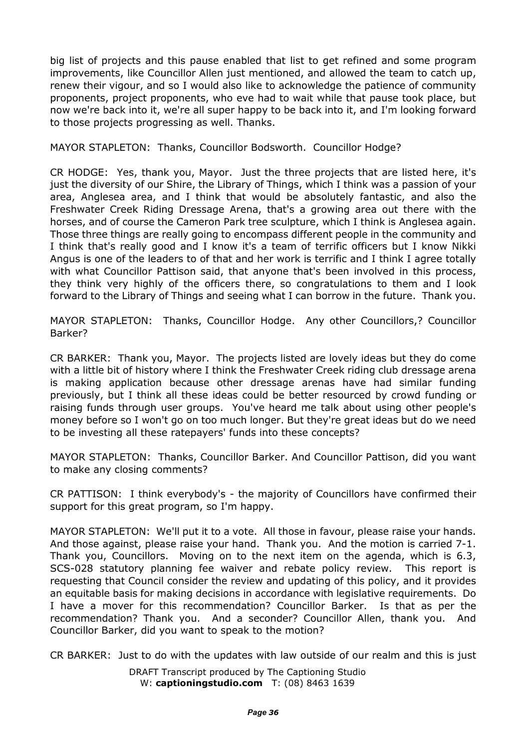big list of projects and this pause enabled that list to get refined and some program improvements, like Councillor Allen just mentioned, and allowed the team to catch up, renew their vigour, and so I would also like to acknowledge the patience of community proponents, project proponents, who eve had to wait while that pause took place, but now we're back into it, we're all super happy to be back into it, and I'm looking forward to those projects progressing as well. Thanks.

MAYOR STAPLETON: Thanks, Councillor Bodsworth. Councillor Hodge?

CR HODGE: Yes, thank you, Mayor. Just the three projects that are listed here, it's just the diversity of our Shire, the Library of Things, which I think was a passion of your area, Anglesea area, and I think that would be absolutely fantastic, and also the Freshwater Creek Riding Dressage Arena, that's a growing area out there with the horses, and of course the Cameron Park tree sculpture, which I think is Anglesea again. Those three things are really going to encompass different people in the community and I think that's really good and I know it's a team of terrific officers but I know Nikki Angus is one of the leaders to of that and her work is terrific and I think I agree totally with what Councillor Pattison said, that anyone that's been involved in this process, they think very highly of the officers there, so congratulations to them and I look forward to the Library of Things and seeing what I can borrow in the future. Thank you.

MAYOR STAPLETON: Thanks, Councillor Hodge. Any other Councillors,? Councillor Barker?

CR BARKER: Thank you, Mayor. The projects listed are lovely ideas but they do come with a little bit of history where I think the Freshwater Creek riding club dressage arena is making application because other dressage arenas have had similar funding previously, but I think all these ideas could be better resourced by crowd funding or raising funds through user groups. You've heard me talk about using other people's money before so I won't go on too much longer. But they're great ideas but do we need to be investing all these ratepayers' funds into these concepts?

MAYOR STAPLETON: Thanks, Councillor Barker. And Councillor Pattison, did you want to make any closing comments?

CR PATTISON: I think everybody's - the majority of Councillors have confirmed their support for this great program, so I'm happy.

MAYOR STAPLETON: We'll put it to a vote. All those in favour, please raise your hands. And those against, please raise your hand. Thank you. And the motion is carried 7-1. Thank you, Councillors. Moving on to the next item on the agenda, which is 6.3, SCS-028 statutory planning fee waiver and rebate policy review. This report is requesting that Council consider the review and updating of this policy, and it provides an equitable basis for making decisions in accordance with legislative requirements. Do I have a mover for this recommendation? Councillor Barker. Is that as per the recommendation? Thank you. And a seconder? Councillor Allen, thank you. And Councillor Barker, did you want to speak to the motion?

CR BARKER: Just to do with the updates with law outside of our realm and this is just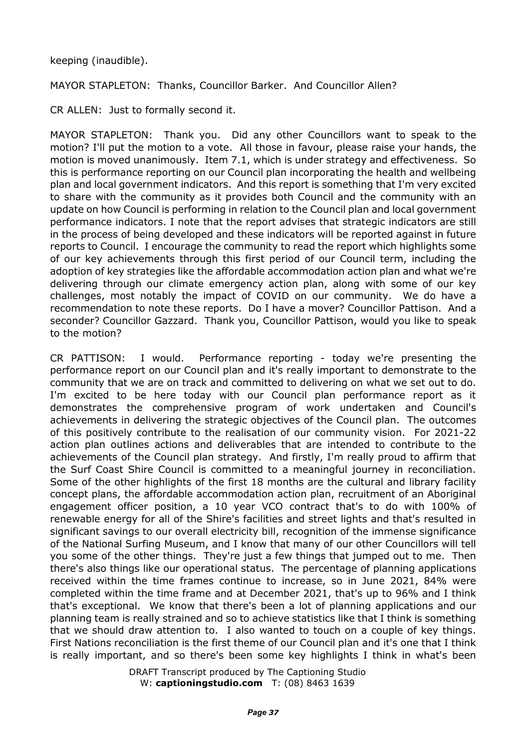## keeping (inaudible).

MAYOR STAPLETON: Thanks, Councillor Barker. And Councillor Allen?

CR ALLEN: Just to formally second it.

MAYOR STAPLETON: Thank you. Did any other Councillors want to speak to the motion? I'll put the motion to a vote. All those in favour, please raise your hands, the motion is moved unanimously. Item 7.1, which is under strategy and effectiveness. So this is performance reporting on our Council plan incorporating the health and wellbeing plan and local government indicators. And this report is something that I'm very excited to share with the community as it provides both Council and the community with an update on how Council is performing in relation to the Council plan and local government performance indicators. I note that the report advises that strategic indicators are still in the process of being developed and these indicators will be reported against in future reports to Council. I encourage the community to read the report which highlights some of our key achievements through this first period of our Council term, including the adoption of key strategies like the affordable accommodation action plan and what we're delivering through our climate emergency action plan, along with some of our key challenges, most notably the impact of COVID on our community. We do have a recommendation to note these reports. Do I have a mover? Councillor Pattison. And a seconder? Councillor Gazzard. Thank you, Councillor Pattison, would you like to speak to the motion?

CR PATTISON: I would. Performance reporting - today we're presenting the performance report on our Council plan and it's really important to demonstrate to the community that we are on track and committed to delivering on what we set out to do. I'm excited to be here today with our Council plan performance report as it demonstrates the comprehensive program of work undertaken and Council's achievements in delivering the strategic objectives of the Council plan. The outcomes of this positively contribute to the realisation of our community vision. For 2021-22 action plan outlines actions and deliverables that are intended to contribute to the achievements of the Council plan strategy. And firstly, I'm really proud to affirm that the Surf Coast Shire Council is committed to a meaningful journey in reconciliation. Some of the other highlights of the first 18 months are the cultural and library facility concept plans, the affordable accommodation action plan, recruitment of an Aboriginal engagement officer position, a 10 year VCO contract that's to do with 100% of renewable energy for all of the Shire's facilities and street lights and that's resulted in significant savings to our overall electricity bill, recognition of the immense significance of the National Surfing Museum, and I know that many of our other Councillors will tell you some of the other things. They're just a few things that jumped out to me. Then there's also things like our operational status. The percentage of planning applications received within the time frames continue to increase, so in June 2021, 84% were completed within the time frame and at December 2021, that's up to 96% and I think that's exceptional. We know that there's been a lot of planning applications and our planning team is really strained and so to achieve statistics like that I think is something that we should draw attention to. I also wanted to touch on a couple of key things. First Nations reconciliation is the first theme of our Council plan and it's one that I think is really important, and so there's been some key highlights I think in what's been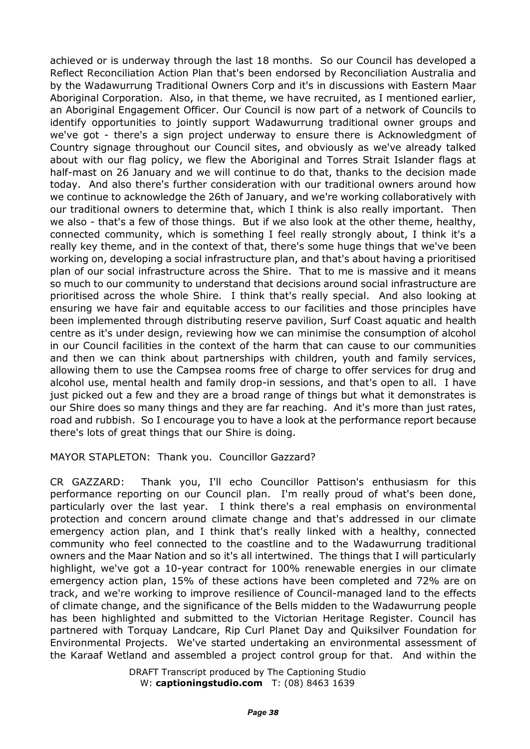achieved or is underway through the last 18 months. So our Council has developed a Reflect Reconciliation Action Plan that's been endorsed by Reconciliation Australia and by the Wadawurrung Traditional Owners Corp and it's in discussions with Eastern Maar Aboriginal Corporation. Also, in that theme, we have recruited, as I mentioned earlier, an Aboriginal Engagement Officer. Our Council is now part of a network of Councils to identify opportunities to jointly support Wadawurrung traditional owner groups and we've got - there's a sign project underway to ensure there is Acknowledgment of Country signage throughout our Council sites, and obviously as we've already talked about with our flag policy, we flew the Aboriginal and Torres Strait Islander flags at half-mast on 26 January and we will continue to do that, thanks to the decision made today. And also there's further consideration with our traditional owners around how we continue to acknowledge the 26th of January, and we're working collaboratively with our traditional owners to determine that, which I think is also really important. Then we also - that's a few of those things. But if we also look at the other theme, healthy, connected community, which is something I feel really strongly about, I think it's a really key theme, and in the context of that, there's some huge things that we've been working on, developing a social infrastructure plan, and that's about having a prioritised plan of our social infrastructure across the Shire. That to me is massive and it means so much to our community to understand that decisions around social infrastructure are prioritised across the whole Shire. I think that's really special. And also looking at ensuring we have fair and equitable access to our facilities and those principles have been implemented through distributing reserve pavilion, Surf Coast aquatic and health centre as it's under design, reviewing how we can minimise the consumption of alcohol in our Council facilities in the context of the harm that can cause to our communities and then we can think about partnerships with children, youth and family services, allowing them to use the Campsea rooms free of charge to offer services for drug and alcohol use, mental health and family drop-in sessions, and that's open to all. I have just picked out a few and they are a broad range of things but what it demonstrates is our Shire does so many things and they are far reaching. And it's more than just rates, road and rubbish. So I encourage you to have a look at the performance report because there's lots of great things that our Shire is doing.

MAYOR STAPLETON: Thank you. Councillor Gazzard?

CR GAZZARD: Thank you, I'll echo Councillor Pattison's enthusiasm for this performance reporting on our Council plan. I'm really proud of what's been done, particularly over the last year. I think there's a real emphasis on environmental protection and concern around climate change and that's addressed in our climate emergency action plan, and I think that's really linked with a healthy, connected community who feel connected to the coastline and to the Wadawurrung traditional owners and the Maar Nation and so it's all intertwined. The things that I will particularly highlight, we've got a 10-year contract for 100% renewable energies in our climate emergency action plan, 15% of these actions have been completed and 72% are on track, and we're working to improve resilience of Council-managed land to the effects of climate change, and the significance of the Bells midden to the Wadawurrung people has been highlighted and submitted to the Victorian Heritage Register. Council has partnered with Torquay Landcare, Rip Curl Planet Day and Quiksilver Foundation for Environmental Projects. We've started undertaking an environmental assessment of the Karaaf Wetland and assembled a project control group for that. And within the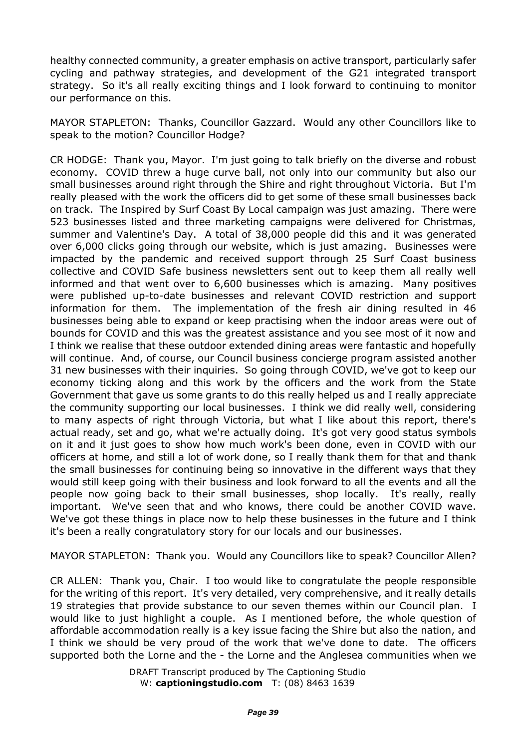healthy connected community, a greater emphasis on active transport, particularly safer cycling and pathway strategies, and development of the G21 integrated transport strategy. So it's all really exciting things and I look forward to continuing to monitor our performance on this.

MAYOR STAPLETON: Thanks, Councillor Gazzard. Would any other Councillors like to speak to the motion? Councillor Hodge?

CR HODGE: Thank you, Mayor. I'm just going to talk briefly on the diverse and robust economy. COVID threw a huge curve ball, not only into our community but also our small businesses around right through the Shire and right throughout Victoria. But I'm really pleased with the work the officers did to get some of these small businesses back on track. The Inspired by Surf Coast By Local campaign was just amazing. There were 523 businesses listed and three marketing campaigns were delivered for Christmas, summer and Valentine's Day. A total of 38,000 people did this and it was generated over 6,000 clicks going through our website, which is just amazing. Businesses were impacted by the pandemic and received support through 25 Surf Coast business collective and COVID Safe business newsletters sent out to keep them all really well informed and that went over to 6,600 businesses which is amazing. Many positives were published up-to-date businesses and relevant COVID restriction and support information for them. The implementation of the fresh air dining resulted in 46 businesses being able to expand or keep practising when the indoor areas were out of bounds for COVID and this was the greatest assistance and you see most of it now and I think we realise that these outdoor extended dining areas were fantastic and hopefully will continue. And, of course, our Council business concierge program assisted another 31 new businesses with their inquiries. So going through COVID, we've got to keep our economy ticking along and this work by the officers and the work from the State Government that gave us some grants to do this really helped us and I really appreciate the community supporting our local businesses. I think we did really well, considering to many aspects of right through Victoria, but what I like about this report, there's actual ready, set and go, what we're actually doing. It's got very good status symbols on it and it just goes to show how much work's been done, even in COVID with our officers at home, and still a lot of work done, so I really thank them for that and thank the small businesses for continuing being so innovative in the different ways that they would still keep going with their business and look forward to all the events and all the people now going back to their small businesses, shop locally. It's really, really important. We've seen that and who knows, there could be another COVID wave. We've got these things in place now to help these businesses in the future and I think it's been a really congratulatory story for our locals and our businesses.

MAYOR STAPLETON: Thank you. Would any Councillors like to speak? Councillor Allen?

CR ALLEN: Thank you, Chair. I too would like to congratulate the people responsible for the writing of this report. It's very detailed, very comprehensive, and it really details 19 strategies that provide substance to our seven themes within our Council plan. I would like to just highlight a couple. As I mentioned before, the whole question of affordable accommodation really is a key issue facing the Shire but also the nation, and I think we should be very proud of the work that we've done to date. The officers supported both the Lorne and the - the Lorne and the Anglesea communities when we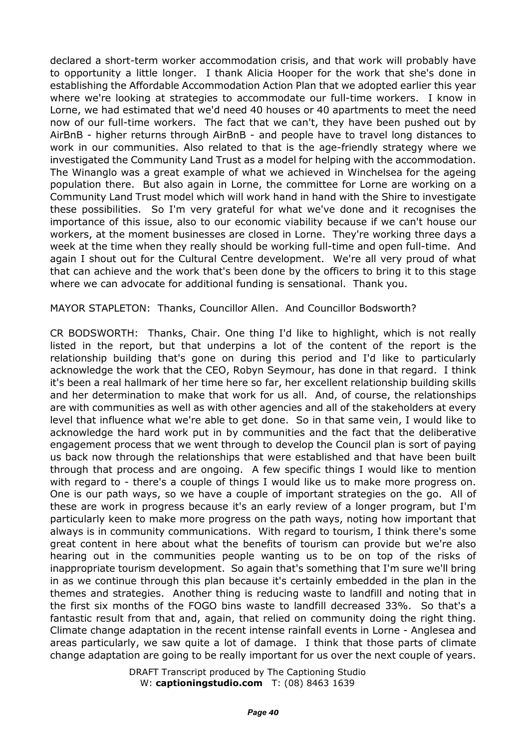declared a short-term worker accommodation crisis, and that work will probably have to opportunity a little longer. I thank Alicia Hooper for the work that she's done in establishing the Affordable Accommodation Action Plan that we adopted earlier this year where we're looking at strategies to accommodate our full-time workers. I know in Lorne, we had estimated that we'd need 40 houses or 40 apartments to meet the need now of our full-time workers. The fact that we can't, they have been pushed out by AirBnB - higher returns through AirBnB - and people have to travel long distances to work in our communities. Also related to that is the age-friendly strategy where we investigated the Community Land Trust as a model for helping with the accommodation. The Winanglo was a great example of what we achieved in Winchelsea for the ageing population there. But also again in Lorne, the committee for Lorne are working on a Community Land Trust model which will work hand in hand with the Shire to investigate these possibilities. So I'm very grateful for what we've done and it recognises the importance of this issue, also to our economic viability because if we can't house our workers, at the moment businesses are closed in Lorne. They're working three days a week at the time when they really should be working full-time and open full-time. And again I shout out for the Cultural Centre development. We're all very proud of what that can achieve and the work that's been done by the officers to bring it to this stage where we can advocate for additional funding is sensational. Thank you.

MAYOR STAPLETON: Thanks, Councillor Allen. And Councillor Bodsworth?

CR BODSWORTH: Thanks, Chair. One thing I'd like to highlight, which is not really listed in the report, but that underpins a lot of the content of the report is the relationship building that's gone on during this period and I'd like to particularly acknowledge the work that the CEO, Robyn Seymour, has done in that regard. I think it's been a real hallmark of her time here so far, her excellent relationship building skills and her determination to make that work for us all. And, of course, the relationships are with communities as well as with other agencies and all of the stakeholders at every level that influence what we're able to get done. So in that same vein, I would like to acknowledge the hard work put in by communities and the fact that the deliberative engagement process that we went through to develop the Council plan is sort of paying us back now through the relationships that were established and that have been built through that process and are ongoing. A few specific things I would like to mention with regard to - there's a couple of things I would like us to make more progress on. One is our path ways, so we have a couple of important strategies on the go. All of these are work in progress because it's an early review of a longer program, but I'm particularly keen to make more progress on the path ways, noting how important that always is in community communications. With regard to tourism, I think there's some great content in here about what the benefits of tourism can provide but we're also hearing out in the communities people wanting us to be on top of the risks of inappropriate tourism development. So again that's something that I'm sure we'll bring in as we continue through this plan because it's certainly embedded in the plan in the themes and strategies. Another thing is reducing waste to landfill and noting that in the first six months of the FOGO bins waste to landfill decreased 33%. So that's a fantastic result from that and, again, that relied on community doing the right thing. Climate change adaptation in the recent intense rainfall events in Lorne - Anglesea and areas particularly, we saw quite a lot of damage. I think that those parts of climate change adaptation are going to be really important for us over the next couple of years.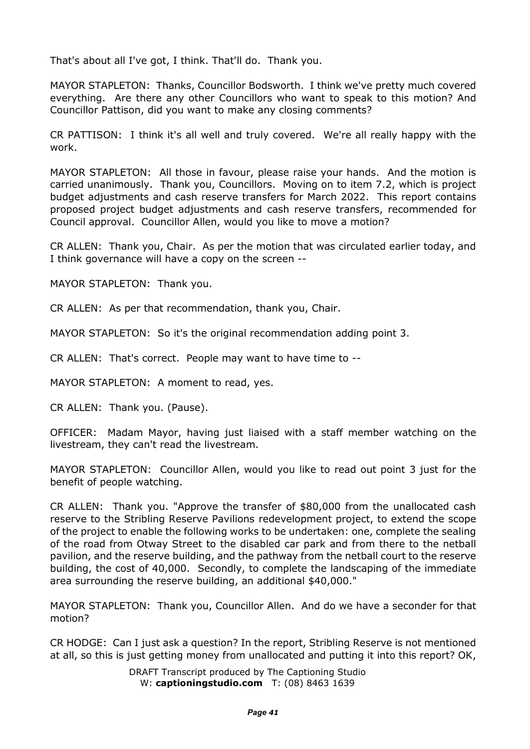That's about all I've got, I think. That'll do. Thank you.

MAYOR STAPLETON: Thanks, Councillor Bodsworth. I think we've pretty much covered everything. Are there any other Councillors who want to speak to this motion? And Councillor Pattison, did you want to make any closing comments?

CR PATTISON: I think it's all well and truly covered. We're all really happy with the work.

MAYOR STAPLETON: All those in favour, please raise your hands. And the motion is carried unanimously. Thank you, Councillors. Moving on to item 7.2, which is project budget adjustments and cash reserve transfers for March 2022. This report contains proposed project budget adjustments and cash reserve transfers, recommended for Council approval. Councillor Allen, would you like to move a motion?

CR ALLEN: Thank you, Chair. As per the motion that was circulated earlier today, and I think governance will have a copy on the screen --

MAYOR STAPLETON: Thank you.

CR ALLEN: As per that recommendation, thank you, Chair.

MAYOR STAPLETON: So it's the original recommendation adding point 3.

CR ALLEN: That's correct. People may want to have time to --

MAYOR STAPLETON: A moment to read, yes.

CR ALLEN: Thank you. (Pause).

OFFICER: Madam Mayor, having just liaised with a staff member watching on the livestream, they can't read the livestream.

MAYOR STAPLETON: Councillor Allen, would you like to read out point 3 just for the benefit of people watching.

CR ALLEN: Thank you. "Approve the transfer of \$80,000 from the unallocated cash reserve to the Stribling Reserve Pavilions redevelopment project, to extend the scope of the project to enable the following works to be undertaken: one, complete the sealing of the road from Otway Street to the disabled car park and from there to the netball pavilion, and the reserve building, and the pathway from the netball court to the reserve building, the cost of 40,000. Secondly, to complete the landscaping of the immediate area surrounding the reserve building, an additional \$40,000."

MAYOR STAPLETON: Thank you, Councillor Allen. And do we have a seconder for that motion?

CR HODGE: Can I just ask a question? In the report, Stribling Reserve is not mentioned at all, so this is just getting money from unallocated and putting it into this report? OK,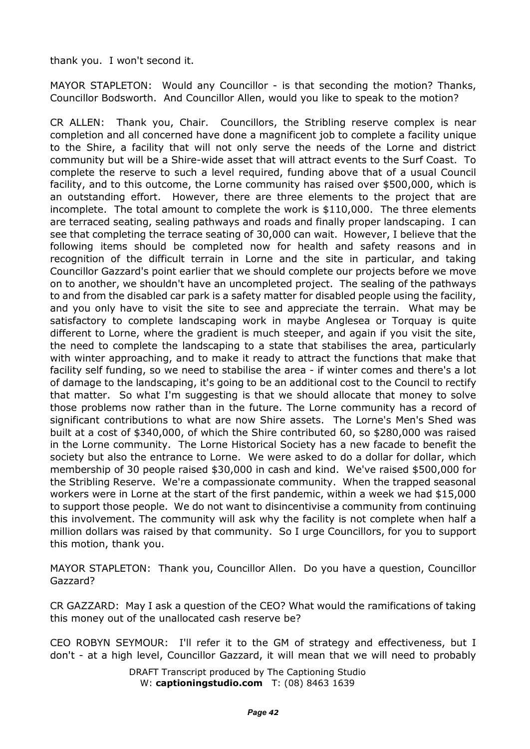thank you. I won't second it.

MAYOR STAPLETON: Would any Councillor - is that seconding the motion? Thanks, Councillor Bodsworth. And Councillor Allen, would you like to speak to the motion?

CR ALLEN: Thank you, Chair. Councillors, the Stribling reserve complex is near completion and all concerned have done a magnificent job to complete a facility unique to the Shire, a facility that will not only serve the needs of the Lorne and district community but will be a Shire-wide asset that will attract events to the Surf Coast. To complete the reserve to such a level required, funding above that of a usual Council facility, and to this outcome, the Lorne community has raised over \$500,000, which is an outstanding effort. However, there are three elements to the project that are incomplete. The total amount to complete the work is \$110,000. The three elements are terraced seating, sealing pathways and roads and finally proper landscaping. I can see that completing the terrace seating of 30,000 can wait. However, I believe that the following items should be completed now for health and safety reasons and in recognition of the difficult terrain in Lorne and the site in particular, and taking Councillor Gazzard's point earlier that we should complete our projects before we move on to another, we shouldn't have an uncompleted project. The sealing of the pathways to and from the disabled car park is a safety matter for disabled people using the facility, and you only have to visit the site to see and appreciate the terrain. What may be satisfactory to complete landscaping work in maybe Anglesea or Torquay is quite different to Lorne, where the gradient is much steeper, and again if you visit the site, the need to complete the landscaping to a state that stabilises the area, particularly with winter approaching, and to make it ready to attract the functions that make that facility self funding, so we need to stabilise the area - if winter comes and there's a lot of damage to the landscaping, it's going to be an additional cost to the Council to rectify that matter. So what I'm suggesting is that we should allocate that money to solve those problems now rather than in the future. The Lorne community has a record of significant contributions to what are now Shire assets. The Lorne's Men's Shed was built at a cost of \$340,000, of which the Shire contributed 60, so \$280,000 was raised in the Lorne community. The Lorne Historical Society has a new facade to benefit the society but also the entrance to Lorne. We were asked to do a dollar for dollar, which membership of 30 people raised \$30,000 in cash and kind. We've raised \$500,000 for the Stribling Reserve. We're a compassionate community. When the trapped seasonal workers were in Lorne at the start of the first pandemic, within a week we had \$15,000 to support those people. We do not want to disincentivise a community from continuing this involvement. The community will ask why the facility is not complete when half a million dollars was raised by that community. So I urge Councillors, for you to support this motion, thank you.

MAYOR STAPLETON: Thank you, Councillor Allen. Do you have a question, Councillor Gazzard?

CR GAZZARD: May I ask a question of the CEO? What would the ramifications of taking this money out of the unallocated cash reserve be?

CEO ROBYN SEYMOUR: I'll refer it to the GM of strategy and effectiveness, but I don't - at a high level, Councillor Gazzard, it will mean that we will need to probably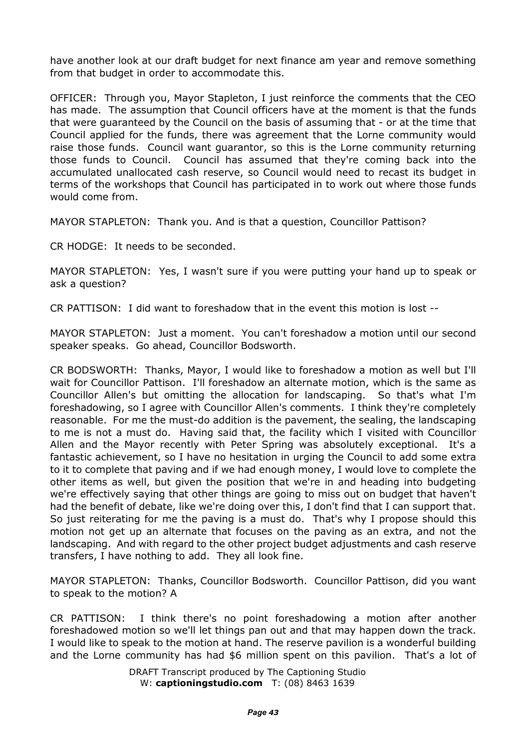have another look at our draft budget for next finance am year and remove something from that budget in order to accommodate this.

OFFICER: Through you, Mayor Stapleton, I just reinforce the comments that the CEO has made. The assumption that Council officers have at the moment is that the funds that were guaranteed by the Council on the basis of assuming that - or at the time that Council applied for the funds, there was agreement that the Lorne community would raise those funds. Council want guarantor, so this is the Lorne community returning those funds to Council. Council has assumed that they're coming back into the accumulated unallocated cash reserve, so Council would need to recast its budget in terms of the workshops that Council has participated in to work out where those funds would come from.

MAYOR STAPLETON: Thank you. And is that a question, Councillor Pattison?

CR HODGE: It needs to be seconded.

MAYOR STAPLETON: Yes, I wasn't sure if you were putting your hand up to speak or ask a question?

CR PATTISON: I did want to foreshadow that in the event this motion is lost --

MAYOR STAPLETON: Just a moment. You can't foreshadow a motion until our second speaker speaks. Go ahead, Councillor Bodsworth.

CR BODSWORTH: Thanks, Mayor, I would like to foreshadow a motion as well but I'll wait for Councillor Pattison. I'll foreshadow an alternate motion, which is the same as Councillor Allen's but omitting the allocation for landscaping. So that's what I'm foreshadowing, so I agree with Councillor Allen's comments. I think they're completely reasonable. For me the must-do addition is the pavement, the sealing, the landscaping to me is not a must do. Having said that, the facility which I visited with Councillor Allen and the Mayor recently with Peter Spring was absolutely exceptional. It's a fantastic achievement, so I have no hesitation in urging the Council to add some extra to it to complete that paving and if we had enough money, I would love to complete the other items as well, but given the position that we're in and heading into budgeting we're effectively saying that other things are going to miss out on budget that haven't had the benefit of debate, like we're doing over this, I don't find that I can support that. So just reiterating for me the paving is a must do. That's why I propose should this motion not get up an alternate that focuses on the paving as an extra, and not the landscaping. And with regard to the other project budget adjustments and cash reserve transfers, I have nothing to add. They all look fine.

MAYOR STAPLETON: Thanks, Councillor Bodsworth. Councillor Pattison, did you want to speak to the motion? A

CR PATTISON: I think there's no point foreshadowing a motion after another foreshadowed motion so we'll let things pan out and that may happen down the track. I would like to speak to the motion at hand. The reserve pavilion is a wonderful building and the Lorne community has had \$6 million spent on this pavilion. That's a lot of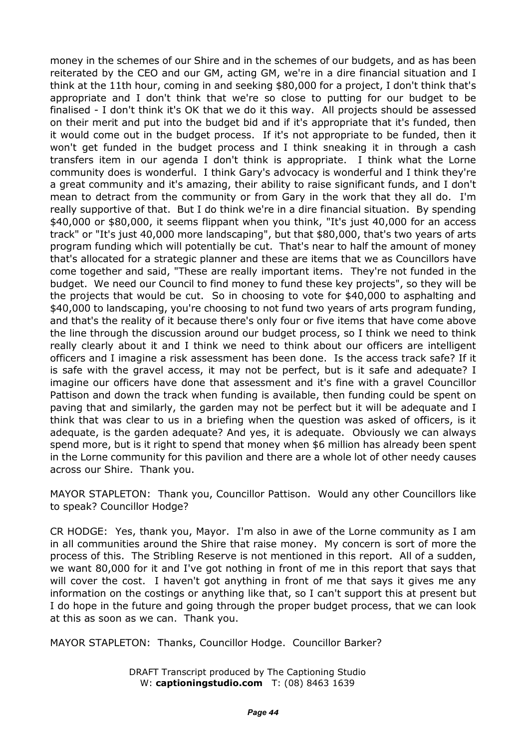money in the schemes of our Shire and in the schemes of our budgets, and as has been reiterated by the CEO and our GM, acting GM, we're in a dire financial situation and I think at the 11th hour, coming in and seeking \$80,000 for a project, I don't think that's appropriate and I don't think that we're so close to putting for our budget to be finalised - I don't think it's OK that we do it this way. All projects should be assessed on their merit and put into the budget bid and if it's appropriate that it's funded, then it would come out in the budget process. If it's not appropriate to be funded, then it won't get funded in the budget process and I think sneaking it in through a cash transfers item in our agenda I don't think is appropriate. I think what the Lorne community does is wonderful. I think Gary's advocacy is wonderful and I think they're a great community and it's amazing, their ability to raise significant funds, and I don't mean to detract from the community or from Gary in the work that they all do. I'm really supportive of that. But I do think we're in a dire financial situation. By spending \$40,000 or \$80,000, it seems flippant when you think, "It's just 40,000 for an access track" or "It's just 40,000 more landscaping", but that \$80,000, that's two years of arts program funding which will potentially be cut. That's near to half the amount of money that's allocated for a strategic planner and these are items that we as Councillors have come together and said, "These are really important items. They're not funded in the budget. We need our Council to find money to fund these key projects", so they will be the projects that would be cut. So in choosing to vote for \$40,000 to asphalting and \$40,000 to landscaping, you're choosing to not fund two years of arts program funding, and that's the reality of it because there's only four or five items that have come above the line through the discussion around our budget process, so I think we need to think really clearly about it and I think we need to think about our officers are intelligent officers and I imagine a risk assessment has been done. Is the access track safe? If it is safe with the gravel access, it may not be perfect, but is it safe and adequate? I imagine our officers have done that assessment and it's fine with a gravel Councillor Pattison and down the track when funding is available, then funding could be spent on paving that and similarly, the garden may not be perfect but it will be adequate and I think that was clear to us in a briefing when the question was asked of officers, is it adequate, is the garden adequate? And yes, it is adequate. Obviously we can always spend more, but is it right to spend that money when \$6 million has already been spent in the Lorne community for this pavilion and there are a whole lot of other needy causes across our Shire. Thank you.

MAYOR STAPLETON: Thank you, Councillor Pattison. Would any other Councillors like to speak? Councillor Hodge?

CR HODGE: Yes, thank you, Mayor. I'm also in awe of the Lorne community as I am in all communities around the Shire that raise money. My concern is sort of more the process of this. The Stribling Reserve is not mentioned in this report. All of a sudden, we want 80,000 for it and I've got nothing in front of me in this report that says that will cover the cost. I haven't got anything in front of me that says it gives me any information on the costings or anything like that, so I can't support this at present but I do hope in the future and going through the proper budget process, that we can look at this as soon as we can. Thank you.

MAYOR STAPLETON: Thanks, Councillor Hodge. Councillor Barker?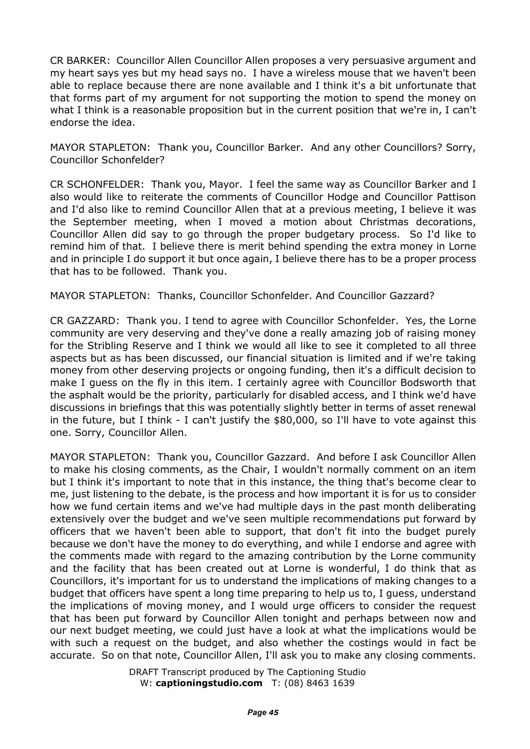CR BARKER: Councillor Allen Councillor Allen proposes a very persuasive argument and my heart says yes but my head says no. I have a wireless mouse that we haven't been able to replace because there are none available and I think it's a bit unfortunate that that forms part of my argument for not supporting the motion to spend the money on what I think is a reasonable proposition but in the current position that we're in, I can't endorse the idea.

MAYOR STAPLETON: Thank you, Councillor Barker. And any other Councillors? Sorry, Councillor Schonfelder?

CR SCHONFELDER: Thank you, Mayor. I feel the same way as Councillor Barker and I also would like to reiterate the comments of Councillor Hodge and Councillor Pattison and I'd also like to remind Councillor Allen that at a previous meeting, I believe it was the September meeting, when I moved a motion about Christmas decorations, Councillor Allen did say to go through the proper budgetary process. So I'd like to remind him of that. I believe there is merit behind spending the extra money in Lorne and in principle I do support it but once again, I believe there has to be a proper process that has to be followed. Thank you.

MAYOR STAPLETON: Thanks, Councillor Schonfelder. And Councillor Gazzard?

CR GAZZARD: Thank you. I tend to agree with Councillor Schonfelder. Yes, the Lorne community are very deserving and they've done a really amazing job of raising money for the Stribling Reserve and I think we would all like to see it completed to all three aspects but as has been discussed, our financial situation is limited and if we're taking money from other deserving projects or ongoing funding, then it's a difficult decision to make I guess on the fly in this item. I certainly agree with Councillor Bodsworth that the asphalt would be the priority, particularly for disabled access, and I think we'd have discussions in briefings that this was potentially slightly better in terms of asset renewal in the future, but I think - I can't justify the \$80,000, so I'll have to vote against this one. Sorry, Councillor Allen.

MAYOR STAPLETON: Thank you, Councillor Gazzard. And before I ask Councillor Allen to make his closing comments, as the Chair, I wouldn't normally comment on an item but I think it's important to note that in this instance, the thing that's become clear to me, just listening to the debate, is the process and how important it is for us to consider how we fund certain items and we've had multiple days in the past month deliberating extensively over the budget and we've seen multiple recommendations put forward by officers that we haven't been able to support, that don't fit into the budget purely because we don't have the money to do everything, and while I endorse and agree with the comments made with regard to the amazing contribution by the Lorne community and the facility that has been created out at Lorne is wonderful, I do think that as Councillors, it's important for us to understand the implications of making changes to a budget that officers have spent a long time preparing to help us to, I guess, understand the implications of moving money, and I would urge officers to consider the request that has been put forward by Councillor Allen tonight and perhaps between now and our next budget meeting, we could just have a look at what the implications would be with such a request on the budget, and also whether the costings would in fact be accurate. So on that note, Councillor Allen, I'll ask you to make any closing comments.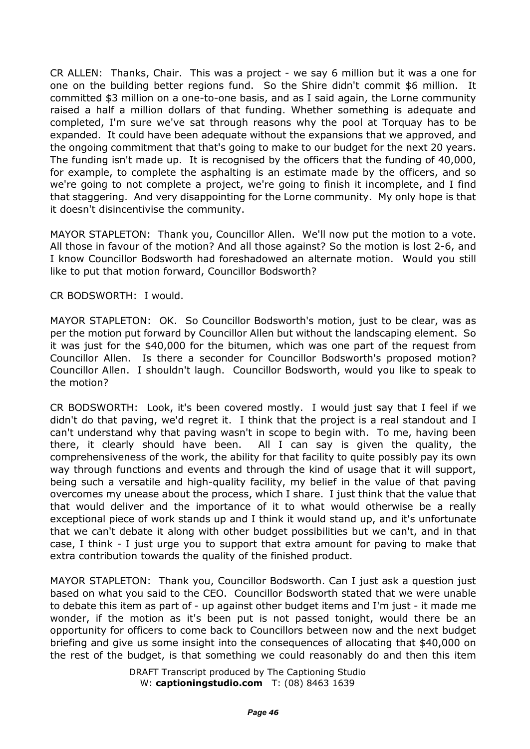CR ALLEN: Thanks, Chair. This was a project - we say 6 million but it was a one for one on the building better regions fund. So the Shire didn't commit \$6 million. It committed \$3 million on a one-to-one basis, and as I said again, the Lorne community raised a half a million dollars of that funding. Whether something is adequate and completed, I'm sure we've sat through reasons why the pool at Torquay has to be expanded. It could have been adequate without the expansions that we approved, and the ongoing commitment that that's going to make to our budget for the next 20 years. The funding isn't made up. It is recognised by the officers that the funding of 40,000, for example, to complete the asphalting is an estimate made by the officers, and so we're going to not complete a project, we're going to finish it incomplete, and I find that staggering. And very disappointing for the Lorne community. My only hope is that it doesn't disincentivise the community.

MAYOR STAPLETON: Thank you, Councillor Allen. We'll now put the motion to a vote. All those in favour of the motion? And all those against? So the motion is lost 2-6, and I know Councillor Bodsworth had foreshadowed an alternate motion. Would you still like to put that motion forward, Councillor Bodsworth?

CR BODSWORTH: I would.

MAYOR STAPLETON: OK. So Councillor Bodsworth's motion, just to be clear, was as per the motion put forward by Councillor Allen but without the landscaping element. So it was just for the \$40,000 for the bitumen, which was one part of the request from Councillor Allen. Is there a seconder for Councillor Bodsworth's proposed motion? Councillor Allen. I shouldn't laugh. Councillor Bodsworth, would you like to speak to the motion?

CR BODSWORTH: Look, it's been covered mostly. I would just say that I feel if we didn't do that paving, we'd regret it. I think that the project is a real standout and I can't understand why that paving wasn't in scope to begin with. To me, having been there, it clearly should have been. All I can say is given the quality, the comprehensiveness of the work, the ability for that facility to quite possibly pay its own way through functions and events and through the kind of usage that it will support, being such a versatile and high-quality facility, my belief in the value of that paving overcomes my unease about the process, which I share. I just think that the value that that would deliver and the importance of it to what would otherwise be a really exceptional piece of work stands up and I think it would stand up, and it's unfortunate that we can't debate it along with other budget possibilities but we can't, and in that case, I think - I just urge you to support that extra amount for paving to make that extra contribution towards the quality of the finished product.

MAYOR STAPLETON: Thank you, Councillor Bodsworth. Can I just ask a question just based on what you said to the CEO. Councillor Bodsworth stated that we were unable to debate this item as part of - up against other budget items and I'm just - it made me wonder, if the motion as it's been put is not passed tonight, would there be an opportunity for officers to come back to Councillors between now and the next budget briefing and give us some insight into the consequences of allocating that \$40,000 on the rest of the budget, is that something we could reasonably do and then this item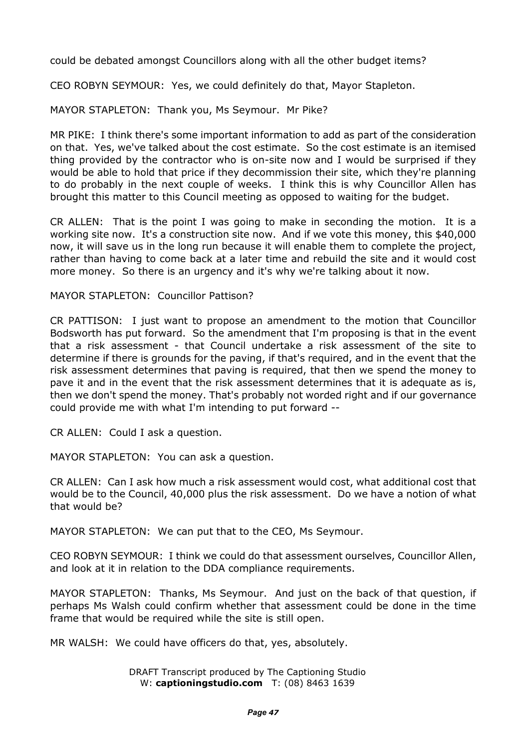could be debated amongst Councillors along with all the other budget items?

CEO ROBYN SEYMOUR: Yes, we could definitely do that, Mayor Stapleton.

MAYOR STAPLETON: Thank you, Ms Seymour. Mr Pike?

MR PIKE: I think there's some important information to add as part of the consideration on that. Yes, we've talked about the cost estimate. So the cost estimate is an itemised thing provided by the contractor who is on-site now and I would be surprised if they would be able to hold that price if they decommission their site, which they're planning to do probably in the next couple of weeks. I think this is why Councillor Allen has brought this matter to this Council meeting as opposed to waiting for the budget.

CR ALLEN: That is the point I was going to make in seconding the motion. It is a working site now. It's a construction site now. And if we vote this money, this \$40,000 now, it will save us in the long run because it will enable them to complete the project, rather than having to come back at a later time and rebuild the site and it would cost more money. So there is an urgency and it's why we're talking about it now.

MAYOR STAPLETON: Councillor Pattison?

CR PATTISON: I just want to propose an amendment to the motion that Councillor Bodsworth has put forward. So the amendment that I'm proposing is that in the event that a risk assessment - that Council undertake a risk assessment of the site to determine if there is grounds for the paving, if that's required, and in the event that the risk assessment determines that paving is required, that then we spend the money to pave it and in the event that the risk assessment determines that it is adequate as is, then we don't spend the money. That's probably not worded right and if our governance could provide me with what I'm intending to put forward --

CR ALLEN: Could I ask a question.

MAYOR STAPLETON: You can ask a question.

CR ALLEN: Can I ask how much a risk assessment would cost, what additional cost that would be to the Council, 40,000 plus the risk assessment. Do we have a notion of what that would be?

MAYOR STAPLETON: We can put that to the CEO, Ms Seymour.

CEO ROBYN SEYMOUR: I think we could do that assessment ourselves, Councillor Allen, and look at it in relation to the DDA compliance requirements.

MAYOR STAPLETON: Thanks, Ms Seymour. And just on the back of that question, if perhaps Ms Walsh could confirm whether that assessment could be done in the time frame that would be required while the site is still open.

MR WALSH: We could have officers do that, yes, absolutely.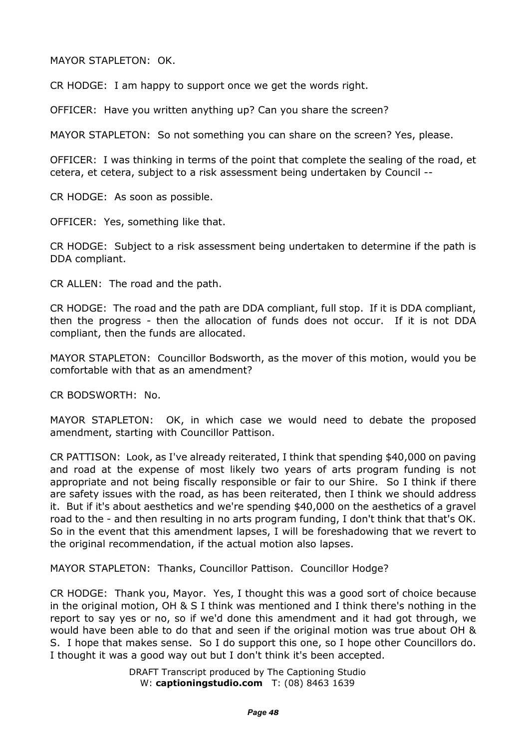MAYOR STAPLETON: OK.

CR HODGE: I am happy to support once we get the words right.

OFFICER: Have you written anything up? Can you share the screen?

MAYOR STAPLETON: So not something you can share on the screen? Yes, please.

OFFICER: I was thinking in terms of the point that complete the sealing of the road, et cetera, et cetera, subject to a risk assessment being undertaken by Council --

CR HODGE: As soon as possible.

OFFICER: Yes, something like that.

CR HODGE: Subject to a risk assessment being undertaken to determine if the path is DDA compliant.

CR ALLEN: The road and the path.

CR HODGE: The road and the path are DDA compliant, full stop. If it is DDA compliant, then the progress - then the allocation of funds does not occur. If it is not DDA compliant, then the funds are allocated.

MAYOR STAPLETON: Councillor Bodsworth, as the mover of this motion, would you be comfortable with that as an amendment?

CR BODSWORTH: No.

MAYOR STAPLETON: OK, in which case we would need to debate the proposed amendment, starting with Councillor Pattison.

CR PATTISON: Look, as I've already reiterated, I think that spending \$40,000 on paving and road at the expense of most likely two years of arts program funding is not appropriate and not being fiscally responsible or fair to our Shire. So I think if there are safety issues with the road, as has been reiterated, then I think we should address it. But if it's about aesthetics and we're spending \$40,000 on the aesthetics of a gravel road to the - and then resulting in no arts program funding, I don't think that that's OK. So in the event that this amendment lapses, I will be foreshadowing that we revert to the original recommendation, if the actual motion also lapses.

MAYOR STAPLETON: Thanks, Councillor Pattison. Councillor Hodge?

CR HODGE: Thank you, Mayor. Yes, I thought this was a good sort of choice because in the original motion, OH & S I think was mentioned and I think there's nothing in the report to say yes or no, so if we'd done this amendment and it had got through, we would have been able to do that and seen if the original motion was true about OH & S. I hope that makes sense. So I do support this one, so I hope other Councillors do. I thought it was a good way out but I don't think it's been accepted.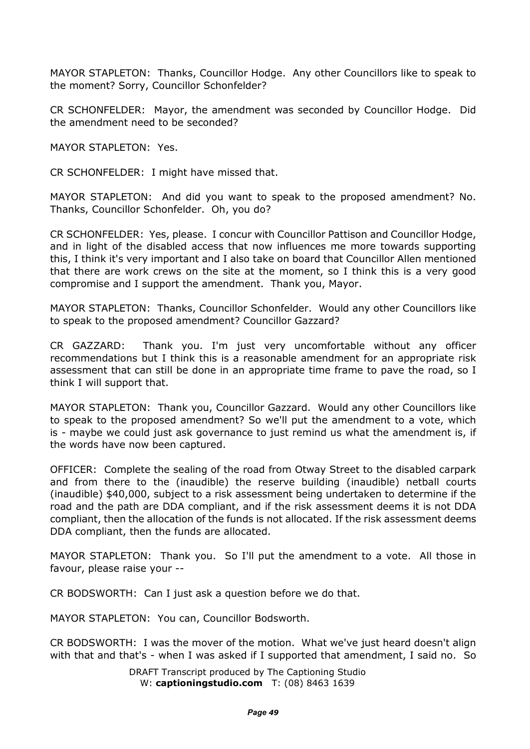MAYOR STAPLETON: Thanks, Councillor Hodge. Any other Councillors like to speak to the moment? Sorry, Councillor Schonfelder?

CR SCHONFELDER: Mayor, the amendment was seconded by Councillor Hodge. Did the amendment need to be seconded?

MAYOR STAPLETON: Yes.

CR SCHONFELDER: I might have missed that.

MAYOR STAPLETON: And did you want to speak to the proposed amendment? No. Thanks, Councillor Schonfelder. Oh, you do?

CR SCHONFELDER: Yes, please. I concur with Councillor Pattison and Councillor Hodge, and in light of the disabled access that now influences me more towards supporting this, I think it's very important and I also take on board that Councillor Allen mentioned that there are work crews on the site at the moment, so I think this is a very good compromise and I support the amendment. Thank you, Mayor.

MAYOR STAPLETON: Thanks, Councillor Schonfelder. Would any other Councillors like to speak to the proposed amendment? Councillor Gazzard?

CR GAZZARD: Thank you. I'm just very uncomfortable without any officer recommendations but I think this is a reasonable amendment for an appropriate risk assessment that can still be done in an appropriate time frame to pave the road, so I think I will support that.

MAYOR STAPLETON: Thank you, Councillor Gazzard. Would any other Councillors like to speak to the proposed amendment? So we'll put the amendment to a vote, which is - maybe we could just ask governance to just remind us what the amendment is, if the words have now been captured.

OFFICER: Complete the sealing of the road from Otway Street to the disabled carpark and from there to the (inaudible) the reserve building (inaudible) netball courts (inaudible) \$40,000, subject to a risk assessment being undertaken to determine if the road and the path are DDA compliant, and if the risk assessment deems it is not DDA compliant, then the allocation of the funds is not allocated. If the risk assessment deems DDA compliant, then the funds are allocated.

MAYOR STAPLETON: Thank you. So I'll put the amendment to a vote. All those in favour, please raise your --

CR BODSWORTH: Can I just ask a question before we do that.

MAYOR STAPLETON: You can, Councillor Bodsworth.

CR BODSWORTH: I was the mover of the motion. What we've just heard doesn't align with that and that's - when I was asked if I supported that amendment, I said no. So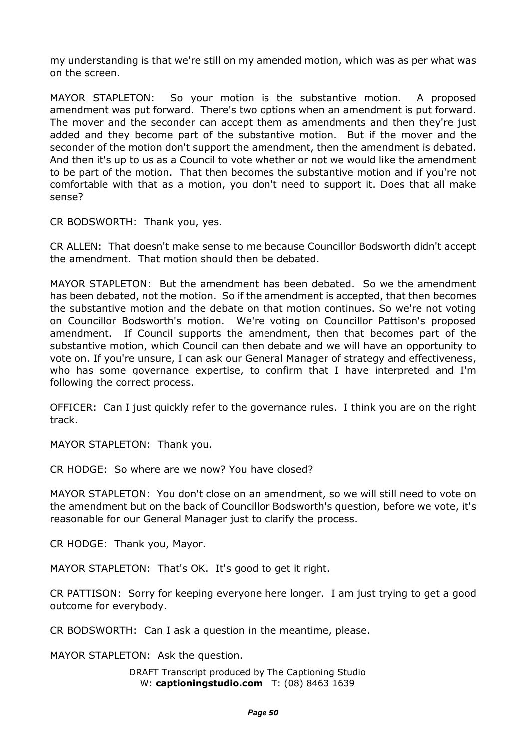my understanding is that we're still on my amended motion, which was as per what was on the screen.

MAYOR STAPLETON: So your motion is the substantive motion. A proposed amendment was put forward. There's two options when an amendment is put forward. The mover and the seconder can accept them as amendments and then they're just added and they become part of the substantive motion. But if the mover and the seconder of the motion don't support the amendment, then the amendment is debated. And then it's up to us as a Council to vote whether or not we would like the amendment to be part of the motion. That then becomes the substantive motion and if you're not comfortable with that as a motion, you don't need to support it. Does that all make sense?

CR BODSWORTH: Thank you, yes.

CR ALLEN: That doesn't make sense to me because Councillor Bodsworth didn't accept the amendment. That motion should then be debated.

MAYOR STAPLETON: But the amendment has been debated. So we the amendment has been debated, not the motion. So if the amendment is accepted, that then becomes the substantive motion and the debate on that motion continues. So we're not voting on Councillor Bodsworth's motion. We're voting on Councillor Pattison's proposed amendment. If Council supports the amendment, then that becomes part of the substantive motion, which Council can then debate and we will have an opportunity to vote on. If you're unsure, I can ask our General Manager of strategy and effectiveness, who has some governance expertise, to confirm that I have interpreted and I'm following the correct process.

OFFICER: Can I just quickly refer to the governance rules. I think you are on the right track.

MAYOR STAPLETON: Thank you.

CR HODGE: So where are we now? You have closed?

MAYOR STAPLETON: You don't close on an amendment, so we will still need to vote on the amendment but on the back of Councillor Bodsworth's question, before we vote, it's reasonable for our General Manager just to clarify the process.

CR HODGE: Thank you, Mayor.

MAYOR STAPLETON: That's OK. It's good to get it right.

CR PATTISON: Sorry for keeping everyone here longer. I am just trying to get a good outcome for everybody.

CR BODSWORTH: Can I ask a question in the meantime, please.

MAYOR STAPLETON: Ask the question.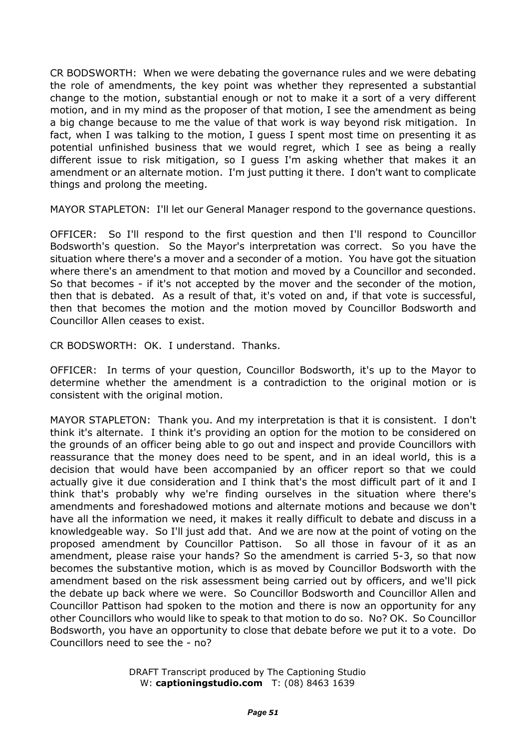CR BODSWORTH: When we were debating the governance rules and we were debating the role of amendments, the key point was whether they represented a substantial change to the motion, substantial enough or not to make it a sort of a very different motion, and in my mind as the proposer of that motion, I see the amendment as being a big change because to me the value of that work is way beyond risk mitigation. In fact, when I was talking to the motion, I guess I spent most time on presenting it as potential unfinished business that we would regret, which I see as being a really different issue to risk mitigation, so I guess I'm asking whether that makes it an amendment or an alternate motion. I'm just putting it there. I don't want to complicate things and prolong the meeting.

MAYOR STAPLETON: I'll let our General Manager respond to the governance questions.

OFFICER: So I'll respond to the first question and then I'll respond to Councillor Bodsworth's question. So the Mayor's interpretation was correct. So you have the situation where there's a mover and a seconder of a motion. You have got the situation where there's an amendment to that motion and moved by a Councillor and seconded. So that becomes - if it's not accepted by the mover and the seconder of the motion, then that is debated. As a result of that, it's voted on and, if that vote is successful, then that becomes the motion and the motion moved by Councillor Bodsworth and Councillor Allen ceases to exist.

CR BODSWORTH: OK. I understand. Thanks.

OFFICER: In terms of your question, Councillor Bodsworth, it's up to the Mayor to determine whether the amendment is a contradiction to the original motion or is consistent with the original motion.

MAYOR STAPLETON: Thank you. And my interpretation is that it is consistent. I don't think it's alternate. I think it's providing an option for the motion to be considered on the grounds of an officer being able to go out and inspect and provide Councillors with reassurance that the money does need to be spent, and in an ideal world, this is a decision that would have been accompanied by an officer report so that we could actually give it due consideration and I think that's the most difficult part of it and I think that's probably why we're finding ourselves in the situation where there's amendments and foreshadowed motions and alternate motions and because we don't have all the information we need, it makes it really difficult to debate and discuss in a knowledgeable way. So I'll just add that. And we are now at the point of voting on the proposed amendment by Councillor Pattison. So all those in favour of it as an amendment, please raise your hands? So the amendment is carried 5-3, so that now becomes the substantive motion, which is as moved by Councillor Bodsworth with the amendment based on the risk assessment being carried out by officers, and we'll pick the debate up back where we were. So Councillor Bodsworth and Councillor Allen and Councillor Pattison had spoken to the motion and there is now an opportunity for any other Councillors who would like to speak to that motion to do so. No? OK. So Councillor Bodsworth, you have an opportunity to close that debate before we put it to a vote. Do Councillors need to see the - no?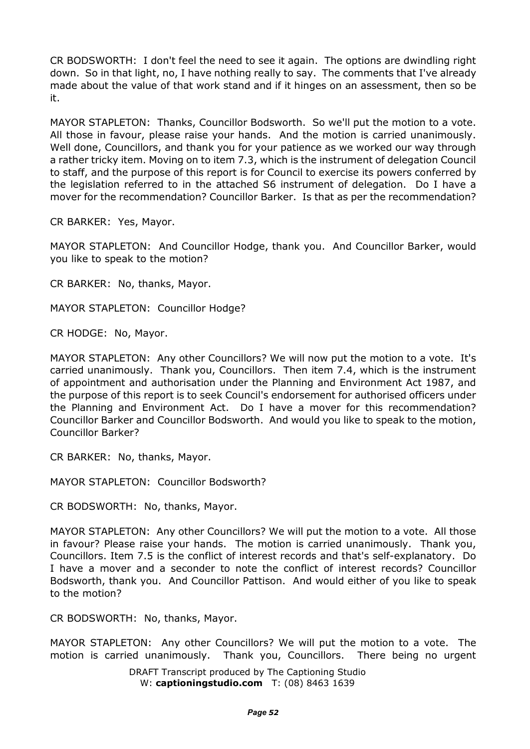CR BODSWORTH: I don't feel the need to see it again. The options are dwindling right down. So in that light, no, I have nothing really to say. The comments that I've already made about the value of that work stand and if it hinges on an assessment, then so be it.

MAYOR STAPLETON: Thanks, Councillor Bodsworth. So we'll put the motion to a vote. All those in favour, please raise your hands. And the motion is carried unanimously. Well done, Councillors, and thank you for your patience as we worked our way through a rather tricky item. Moving on to item 7.3, which is the instrument of delegation Council to staff, and the purpose of this report is for Council to exercise its powers conferred by the legislation referred to in the attached S6 instrument of delegation. Do I have a mover for the recommendation? Councillor Barker. Is that as per the recommendation?

CR BARKER: Yes, Mayor.

MAYOR STAPLETON: And Councillor Hodge, thank you. And Councillor Barker, would you like to speak to the motion?

CR BARKER: No, thanks, Mayor.

MAYOR STAPLETON: Councillor Hodge?

CR HODGE: No, Mayor.

MAYOR STAPLETON: Any other Councillors? We will now put the motion to a vote. It's carried unanimously. Thank you, Councillors. Then item 7.4, which is the instrument of appointment and authorisation under the Planning and Environment Act 1987, and the purpose of this report is to seek Council's endorsement for authorised officers under the Planning and Environment Act. Do I have a mover for this recommendation? Councillor Barker and Councillor Bodsworth. And would you like to speak to the motion, Councillor Barker?

CR BARKER: No, thanks, Mayor.

MAYOR STAPLETON: Councillor Bodsworth?

CR BODSWORTH: No, thanks, Mayor.

MAYOR STAPLETON: Any other Councillors? We will put the motion to a vote. All those in favour? Please raise your hands. The motion is carried unanimously. Thank you, Councillors. Item 7.5 is the conflict of interest records and that's self-explanatory. Do I have a mover and a seconder to note the conflict of interest records? Councillor Bodsworth, thank you. And Councillor Pattison. And would either of you like to speak to the motion?

CR BODSWORTH: No, thanks, Mayor.

MAYOR STAPLETON: Any other Councillors? We will put the motion to a vote. The motion is carried unanimously. Thank you, Councillors. There being no urgent